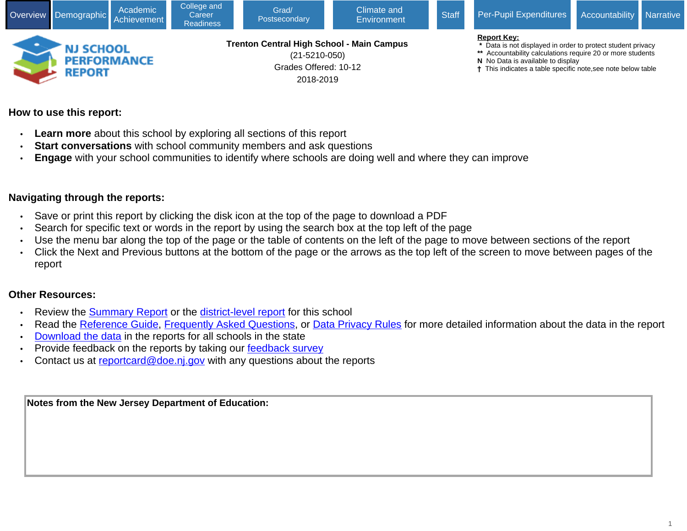

# **How to use this report:**

- **Learn more** about this school by exploring all sections of this report
- **Start conversations** with school community members and ask questions
- **Engage** with your school communities to identify where schools are doing well and where they can improve

# **Navigating through the reports:**

- Save or print this report by clicking the disk icon at the top of the page to download a PDF
- Search for specific text or words in the report by using the search box at the top left of the page
- Use the menu bar along the top of the page or the table of contents on the left of the page to move between sections of the report
- Click the Next and Previous buttons at the bottom of the page or the arrows as the top left of the screen to move between pages of the report

### **Other Resources:**

- Review the [Summary Report](https://rc.doe.state.nj.us/report.aspx?school=050&schoolyear=2018-2019&district=5210&county=21&type=summaryschool&lang=english) or the [district-level report](https://rc.doe.state.nj.us/report.aspx?school=&schoolyear=2018-2019&district=5210&county=21&type=district&lang=english) for this school
- Read the [Reference Guide,](javascript:void(window.open(window.location.origin%20+%20) [Frequently Asked Questions](javascript:void(window.open(window.location.origin%20+%20), or [Data Privacy Rules](javascript:void(window.open(window.location.origin%20+%20) for more detailed information about the data in the report
- [Download the data](javascript:void(window.open(window.location.origin%20+%20) in the reports for all schools in the state
- Provide feedback on the reports by taking our [feedback survey](javascript:void(window.open()
- Contact us at [reportcard@doe.nj.gov](mailto:reportcard@doe.nj.gov) with any questions about the reports

**Notes from the New Jersey Department of Education:**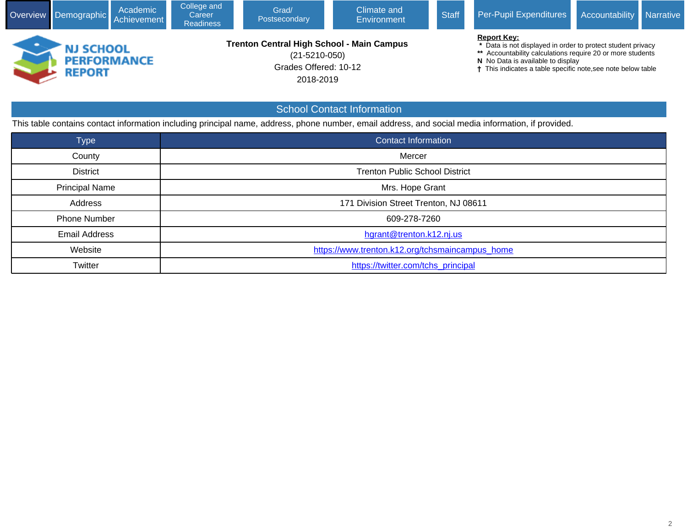| Overview                                                                                                                                                                                                                                                                                                                                                                                                                    | Demographic                                              | Academic<br>Achievement | College and<br>Career<br><b>Readiness</b> | Grad/<br>Postsecondary | Climate and<br>Environment        | <b>Staff</b> | Per-Pupil Expenditures                                                                                                                             | Accountability | Narrative |
|-----------------------------------------------------------------------------------------------------------------------------------------------------------------------------------------------------------------------------------------------------------------------------------------------------------------------------------------------------------------------------------------------------------------------------|----------------------------------------------------------|-------------------------|-------------------------------------------|------------------------|-----------------------------------|--------------|----------------------------------------------------------------------------------------------------------------------------------------------------|----------------|-----------|
| <b>Report Key:</b><br><b>Trenton Central High School - Main Campus</b><br>* Data is not displayed in order to protect student privacy<br><b>NJ SCHOOL</b><br>Accountability calculations require 20 or more students<br>$(21 - 5210 - 050)$<br><b>PERFORMANCE</b><br>N No Data is available to display<br>Grades Offered: 10-12<br>This indicates a table specific note, see note below table<br><b>REPORT</b><br>2018-2019 |                                                          |                         |                                           |                        |                                   |              |                                                                                                                                                    |                |           |
|                                                                                                                                                                                                                                                                                                                                                                                                                             |                                                          |                         |                                           |                        | <b>School Contact Information</b> |              |                                                                                                                                                    |                |           |
|                                                                                                                                                                                                                                                                                                                                                                                                                             |                                                          |                         |                                           |                        |                                   |              | This table contains contact information including principal name, address, phone number, email address, and social media information, if provided. |                |           |
|                                                                                                                                                                                                                                                                                                                                                                                                                             | <b>Type</b>                                              |                         |                                           |                        | <b>Contact Information</b>        |              |                                                                                                                                                    |                |           |
|                                                                                                                                                                                                                                                                                                                                                                                                                             | County                                                   |                         |                                           |                        | Mercer                            |              |                                                                                                                                                    |                |           |
|                                                                                                                                                                                                                                                                                                                                                                                                                             | <b>District</b><br><b>Trenton Public School District</b> |                         |                                           |                        |                                   |              |                                                                                                                                                    |                |           |

Principal Name **Mrs. Hope Grant** 

Phone Number 2009-278-7260

Email Address **has a contract to the contract of the contract of the contract of the contract of the contract of the contract of the contract of the contract of the contract of the contract of the contract of the contract** 

Address **171 Division Street Trenton, NJ 08611** 

Twitter **[https://twitter.com/tchs\\_principal](javascript:void(window.open()** 

Website **[https://www.trenton.k12.org/tchsmaincampus\\_home](javascript:void(window.open()**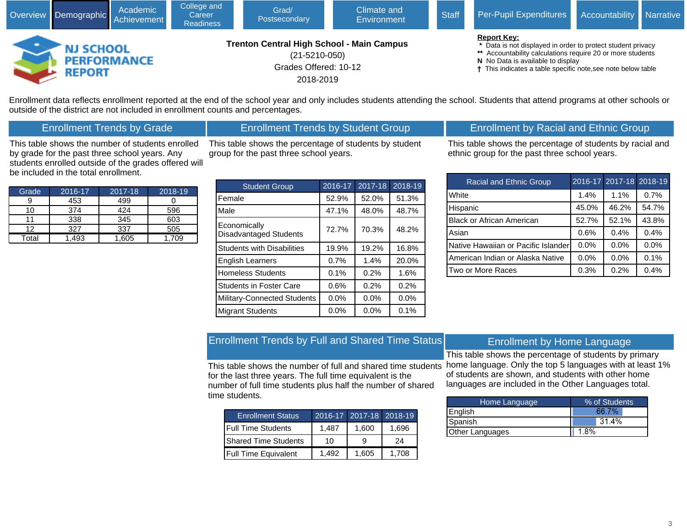| Academic<br>Overview Demographic Achievement |                            | College and<br>Career<br><b>Readiness</b> | Climate and<br>Grad/<br><b>Staff</b><br>Postsecondary<br>Environment |                                                                                                               |  | <b>Per-Pupil Expenditures</b> | Accountability Narrative                                                                                                                                                                                                                             |  |  |
|----------------------------------------------|----------------------------|-------------------------------------------|----------------------------------------------------------------------|---------------------------------------------------------------------------------------------------------------|--|-------------------------------|------------------------------------------------------------------------------------------------------------------------------------------------------------------------------------------------------------------------------------------------------|--|--|
|                                              | NJ SCHOOL<br><b>REPORT</b> | <b>PERFORMANCE</b>                        |                                                                      | <b>Trenton Central High School - Main Campus</b><br>$(21 - 5210 - 050)$<br>Grades Offered: 10-12<br>2018-2019 |  |                               | <b>Report Key:</b><br>* Data is not displayed in order to protect student privacy<br>** Accountability calculations require 20 or more students<br>N No Data is available to display<br>† This indicates a table specific note, see note below table |  |  |

Enrollment data reflects enrollment reported at the end of the school year and only includes students attending the school. Students that attend programs at other schools or outside of the district are not included in enrollment counts and percentages.

## Enrollment Trends by Grade

### Enrollment Trends by Student Group

This table shows the number of students enrolled by grade for the past three school years. Any students enrolled outside of the grades offered will be included in the total enrollment.

| This table shows the percentage of students by student |  |
|--------------------------------------------------------|--|
| group for the past three school years.                 |  |

| Grade | 2016-17 | $2017 - 18$ | 2018-19 |
|-------|---------|-------------|---------|
|       | 453     | 499         |         |
| 10    | 374     | 424         | 596     |
|       | 338     | 345         | 603     |
| 12    | 327     | 337         | 505     |
| Total | 493     | 1.605       | 1.709   |

| <b>Student Group</b>                          | $2016 - 17$ | 2017-18 | 2018-19 |
|-----------------------------------------------|-------------|---------|---------|
| Female                                        | 52.9%       | 52.0%   | 51.3%   |
| Male                                          | 47.1%       | 48.0%   | 48.7%   |
| Economically<br><b>Disadvantaged Students</b> | 72.7%       | 70.3%   | 48.2%   |
| <b>Students with Disabilities</b>             | 19.9%       | 19.2%   | 16.8%   |
| <b>English Learners</b>                       | 0.7%        | 1.4%    | 20.0%   |
| <b>Homeless Students</b>                      | 0.1%        | 0.2%    | 1.6%    |
| <b>Students in Foster Care</b>                | 0.6%        | 0.2%    | 0.2%    |
| <b>Military-Connected Students</b>            | 0.0%        | 0.0%    | 0.0%    |
| <b>Migrant Students</b>                       | 0.0%        | 0.0%    | 0.1%    |

# Enrollment by Racial and Ethnic Group

This table shows the percentage of students by racial and ethnic group for the past three school years.

| Racial and Ethnic Group             |         | 2016-17 2017-18 2018-19 |       |
|-------------------------------------|---------|-------------------------|-------|
| White                               | 1.4%    | 1.1%                    | 0.7%  |
| Hispanic                            | 45.0%   | 46.2%                   | 54.7% |
| <b>Black or African American</b>    | 52.7%   | 52.1%                   | 43.8% |
| Asian                               | 0.6%    | 0.4%                    | 0.4%  |
| Native Hawaiian or Pacific Islander | 0.0%    | 0.0%                    | 0.0%  |
| American Indian or Alaska Native    | $0.0\%$ | 0.0%                    | 0.1%  |
| Two or More Races                   | 0.3%    | 0.2%                    | 0.4%  |

# Enrollment Trends by Full and Shared Time Status

This table shows the number of full and shared time students for the last three years. The full time equivalent is the number of full time students plus half the number of shared time students.

| <b>Enrollment Status</b>    |       | 2016-17 2017-18 2018-19 |       |
|-----------------------------|-------|-------------------------|-------|
| <b>IFull Time Students</b>  | 1.487 | 1.600                   | 1.696 |
| <b>Shared Time Students</b> | 10    |                         | 24    |
| <b>Full Time Equivalent</b> | 1.492 | 1.605                   | 1.708 |

### Enrollment by Home Language

This table shows the percentage of students by primary home language. Only the top 5 languages with at least 1% of students are shown, and students with other home languages are included in the Other Languages total.

| Home Language          | % of Students |
|------------------------|---------------|
| English                | 66.7%         |
| Spanish                | 31.4%         |
| <b>Other Languages</b> | 18%           |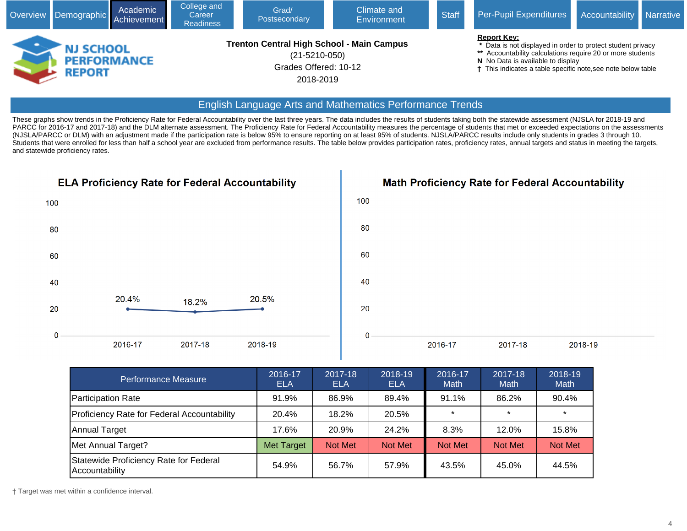| Academic<br>Overview Demographic Achievement |                                                         | College and<br>Career<br><b>Readiness</b> | Climate and<br>Grad/<br><b>Staff</b><br>Postsecondary<br>Environment |                                                                                                               |  | Per-Pupil Expenditures | Accountability Narrative                                                                                                                                                                                                                           |  |  |
|----------------------------------------------|---------------------------------------------------------|-------------------------------------------|----------------------------------------------------------------------|---------------------------------------------------------------------------------------------------------------|--|------------------------|----------------------------------------------------------------------------------------------------------------------------------------------------------------------------------------------------------------------------------------------------|--|--|
|                                              | <b>NJ SCHOOL</b><br><b>PERFORMANCE</b><br><b>REPORT</b> |                                           |                                                                      | <b>Trenton Central High School - Main Campus</b><br>$(21 - 5210 - 050)$<br>Grades Offered: 10-12<br>2018-2019 |  |                        | <b>Report Key:</b><br>* Data is not displayed in order to protect student privacy<br>** Accountability calculations require 20 or more students<br>N No Data is available to display<br>This indicates a table specific note, see note below table |  |  |

### English Language Arts and Mathematics Performance Trends

These graphs show trends in the Proficiency Rate for Federal Accountability over the last three years. The data includes the results of students taking both the statewide assessment (NJSLA for 2018-19 and PARCC for 2016-17 and 2017-18) and the DLM alternate assessment. The Proficiency Rate for Federal Accountability measures the percentage of students that met or exceeded expectations on the assessments (NJSLA/PARCC or DLM) with an adjustment made if the participation rate is below 95% to ensure reporting on at least 95% of students. NJSLA/PARCC results include only students in grades 3 through 10. Students that were enrolled for less than half a school year are excluded from performance results. The table below provides participation rates, proficiency rates, annual targets and status in meeting the targets, and statewide proficiency rates.



**Math Proficiency Rate for Federal Accountability** 



| <b>Performance Measure</b>                               | 2016-17<br><b>ELA</b> | 2017-18<br>ELA | 2018-19<br><b>ELA</b> | 2016-17<br><b>Math</b> | 2017-18<br><b>Math</b> | 2018-19<br><b>Math</b> |
|----------------------------------------------------------|-----------------------|----------------|-----------------------|------------------------|------------------------|------------------------|
| <b>Participation Rate</b>                                | 91.9%                 | 86.9%          | 89.4%                 | 91.1%                  | 86.2%                  | 90.4%                  |
| Proficiency Rate for Federal Accountability              | 20.4%                 | 18.2%          | 20.5%                 | $\star$                | $\star$                | $\star$                |
| Annual Target                                            | 17.6%                 | 20.9%          | 24.2%                 | 8.3%                   | 12.0%                  | 15.8%                  |
| Met Annual Target?                                       | <b>Met Target</b>     | Not Met        | Not Met               | <b>Not Met</b>         | <b>Not Met</b>         | <b>Not Met</b>         |
| Statewide Proficiency Rate for Federal<br>Accountability | 54.9%                 | 56.7%          | 57.9%                 | 43.5%                  | 45.0%                  | 44.5%                  |

† Target was met within a confidence interval.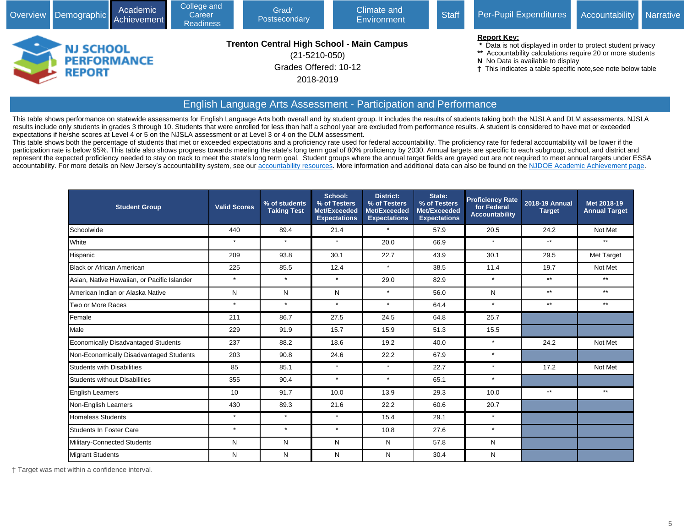|   | Overview Demographic Achievement                        | Academic | College and<br>Career<br><b>Readiness</b> | Grad/<br>Postsecondary                                                                                        | Climate and<br>Environment | <b>Staff</b> | Per-Pupil Expenditures                                                                                                                                                                                                                             | Accountability Narrative |  |
|---|---------------------------------------------------------|----------|-------------------------------------------|---------------------------------------------------------------------------------------------------------------|----------------------------|--------------|----------------------------------------------------------------------------------------------------------------------------------------------------------------------------------------------------------------------------------------------------|--------------------------|--|
| - | <b>NJ SCHOOL</b><br><b>PERFORMANCE</b><br><b>REPORT</b> |          |                                           | <b>Trenton Central High School - Main Campus</b><br>$(21 - 5210 - 050)$<br>Grades Offered: 10-12<br>2018-2019 |                            |              | <b>Report Key:</b><br>* Data is not displayed in order to protect student privacy<br>** Accountability calculations require 20 or more students<br>N No Data is available to display<br>This indicates a table specific note, see note below table |                          |  |

# English Language Arts Assessment - Participation and Performance

This table shows performance on statewide assessments for English Language Arts both overall and by student group. It includes the results of students taking both the NJSLA and DLM assessments. NJSLA results include only students in grades 3 through 10. Students that were enrolled for less than half a school year are excluded from performance results. A student is considered to have met or exceeded expectations if he/she scores at Level 4 or 5 on the NJSLA assessment or at Level 3 or 4 on the DLM assessment.

This table shows both the percentage of students that met or exceeded expectations and a proficiency rate used for federal accountability. The proficiency rate for federal accountability will be lower if the participation rate is below 95%. This table also shows progress towards meeting the state's long term goal of 80% proficiency by 2030. Annual targets are specific to each subgroup, school, and district and represent the expected proficiency needed to stay on track to meet the state's long term goal. Student groups where the annual target fields are grayed out are not required to meet annual targets under ESSA accountability. For more details on New Jersey's accountability system, see our [accountability resources.](javascript:void(window.open() More information and additional data can also be found on the [NJDOE Academic Achievement page.](javascript:void(window.open()

| <b>Student Group</b>                        | <b>Valid Scores</b> | % of students<br><b>Taking Test</b> | School:<br>% of Testers<br>Met/Exceeded<br><b>Expectations</b> | <b>District:</b><br>% of Testers<br>Met/Exceeded<br><b>Expectations</b> | State:<br>% of Testers<br>Met/Exceeded<br><b>Expectations</b> | <b>Proficiency Rate</b><br>for Federal<br><b>Accountability</b> | 2018-19 Annual<br><b>Target</b> | Met 2018-19<br><b>Annual Target</b> |
|---------------------------------------------|---------------------|-------------------------------------|----------------------------------------------------------------|-------------------------------------------------------------------------|---------------------------------------------------------------|-----------------------------------------------------------------|---------------------------------|-------------------------------------|
| Schoolwide                                  | 440                 | 89.4                                | 21.4                                                           | $\star$                                                                 | 57.9                                                          | 20.5                                                            | 24.2                            | Not Met                             |
| White                                       | $\star$             | $\star$                             | $\star$                                                        | 20.0                                                                    | 66.9                                                          | $\star$                                                         | $**$                            | $***$                               |
| Hispanic                                    | 209                 | 93.8                                | 30.1                                                           | 22.7                                                                    | 43.9                                                          | 30.1                                                            | 29.5                            | Met Target                          |
| Black or African American                   | 225                 | 85.5                                | 12.4                                                           | $\star$                                                                 | 38.5                                                          | 11.4                                                            | 19.7                            | Not Met                             |
| Asian, Native Hawaiian, or Pacific Islander | $\star$             | $\star$                             | $\star$                                                        | 29.0                                                                    | 82.9                                                          | $\star$                                                         | $***$                           | $**$                                |
| American Indian or Alaska Native            | N                   | N                                   | N                                                              | $\star$                                                                 | 56.0                                                          | N                                                               | $**$                            | $***$                               |
| Two or More Races                           | $\star$             | $\star$                             | $\star$                                                        | $\star$                                                                 | 64.4                                                          | $\star$                                                         | $***$                           | $***$                               |
| <b>Female</b>                               | 211                 | 86.7                                | 27.5                                                           | 24.5                                                                    | 64.8                                                          | 25.7                                                            |                                 |                                     |
| Male                                        | 229                 | 91.9                                | 15.7                                                           | 15.9                                                                    | 51.3                                                          | 15.5                                                            |                                 |                                     |
| Economically Disadvantaged Students         | 237                 | 88.2                                | 18.6                                                           | 19.2                                                                    | 40.0                                                          | $\star$                                                         | 24.2                            | Not Met                             |
| Non-Economically Disadvantaged Students     | 203                 | 90.8                                | 24.6                                                           | 22.2                                                                    | 67.9                                                          | $\star$                                                         |                                 |                                     |
| <b>Students with Disabilities</b>           | 85                  | 85.1                                | $\star$                                                        | $\star$                                                                 | 22.7                                                          | $\star$                                                         | 17.2                            | Not Met                             |
| Students without Disabilities               | 355                 | 90.4                                | $\star$                                                        | $\star$                                                                 | 65.1                                                          | $\star$                                                         |                                 |                                     |
| English Learners                            | 10                  | 91.7                                | 10.0                                                           | 13.9                                                                    | 29.3                                                          | 10.0                                                            | $**$                            | $***$                               |
| Non-English Learners                        | 430                 | 89.3                                | 21.6                                                           | 22.2                                                                    | 60.6                                                          | 20.7                                                            |                                 |                                     |
| Homeless Students                           | $\star$             | $\star$                             | $\star$                                                        | 15.4                                                                    | 29.1                                                          | $\star$                                                         |                                 |                                     |
| <b>Students In Foster Care</b>              | $\star$             | $\star$                             | $\star$                                                        | 10.8                                                                    | 27.6                                                          | $\star$                                                         |                                 |                                     |
| Military-Connected Students                 | N                   | N                                   | N                                                              | N                                                                       | 57.8                                                          | N                                                               |                                 |                                     |
| Migrant Students                            | N                   | N                                   | N                                                              | N                                                                       | 30.4                                                          | N                                                               |                                 |                                     |

† Target was met within a confidence interval.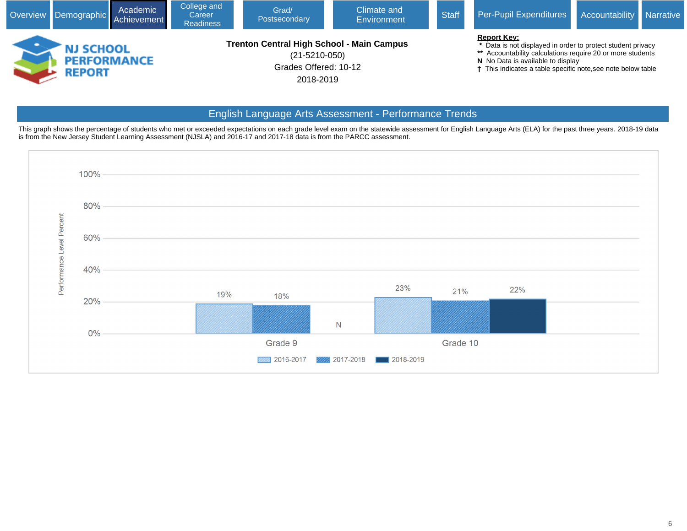| Overview Demographic Achievement                        | Academic | College and<br>Career<br><b>Readiness</b> | Grad/<br>Postsecondary                                                                                 | Per-Pupil Expenditures | Accountability Narrative |                                                                                                                                                                                                                                                                 |  |  |
|---------------------------------------------------------|----------|-------------------------------------------|--------------------------------------------------------------------------------------------------------|------------------------|--------------------------|-----------------------------------------------------------------------------------------------------------------------------------------------------------------------------------------------------------------------------------------------------------------|--|--|
| <b>NJ SCHOOL</b><br><b>PERFORMANCE</b><br><b>REPORT</b> |          |                                           | Trenton Central High School - Main Campus<br>$(21 - 5210 - 050)$<br>Grades Offered: 10-12<br>2018-2019 |                        |                          | <b>Report Key:</b><br>* Data is not displayed in order to protect student privacy<br>** Accountability calculations require 20 or more students<br>N No Data is available to display<br><sup>†</sup> This indicates a table specific note, see note below table |  |  |

# English Language Arts Assessment - Performance Trends

This graph shows the percentage of students who met or exceeded expectations on each grade level exam on the statewide assessment for English Language Arts (ELA) for the past three years. 2018-19 data is from the New Jersey Student Learning Assessment (NJSLA) and 2016-17 and 2017-18 data is from the PARCC assessment.

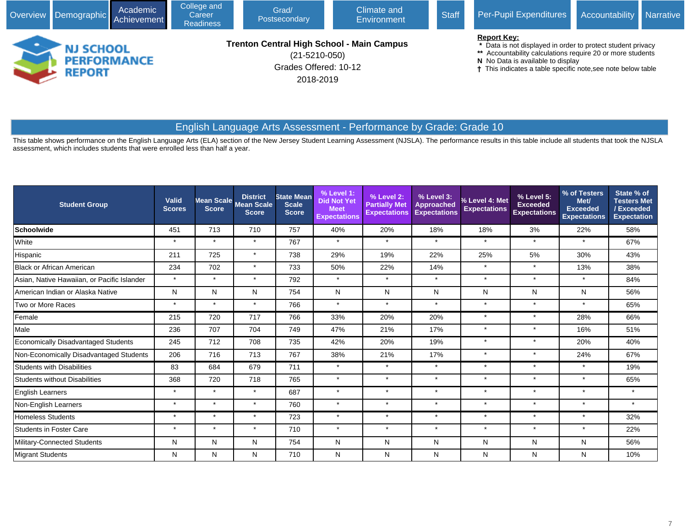| Overview Demographic Achievement                        | Academic | College and<br>Career<br><b>Readiness</b> | Grad/<br>Postsecondary                                                                                        | Climate and<br>Environment | Per-Pupil Expenditures | Accountability Narrative                                                                                                                                                                                                                             |  |  |
|---------------------------------------------------------|----------|-------------------------------------------|---------------------------------------------------------------------------------------------------------------|----------------------------|------------------------|------------------------------------------------------------------------------------------------------------------------------------------------------------------------------------------------------------------------------------------------------|--|--|
| <b>NJ SCHOOL</b><br><b>PERFORMANCE</b><br><b>REPORT</b> |          |                                           | <b>Trenton Central High School - Main Campus</b><br>$(21 - 5210 - 050)$<br>Grades Offered: 10-12<br>2018-2019 |                            |                        | <b>Report Key:</b><br>* Data is not displayed in order to protect student privacy<br>** Accountability calculations require 20 or more students<br>N No Data is available to display<br>† This indicates a table specific note, see note below table |  |  |

# English Language Arts Assessment - Performance by Grade: Grade 10

This table shows performance on the English Language Arts (ELA) section of the New Jersey Student Learning Assessment (NJSLA). The performance results in this table include all students that took the NJSLA assessment, which includes students that were enrolled less than half a year.

| <b>Student Group</b>                        | <b>Valid</b><br><b>Scores</b> | Mean Scale<br><b>Score</b> | <b>District</b><br><b>Mean Scale</b><br><b>Score</b> | <b>State Mean</b><br><b>Scale</b><br><b>Score</b> | % Level 1:<br><b>Did Not Yet</b><br><b>Meet</b><br><b>Expectations</b> | % Level 2:<br><b>Partially Met</b><br><b>Expectations</b> | % Level 3:<br><b>Approached</b><br><b>Expectations</b> | % Level 4: Met<br><b>Expectations</b> | % Level 5:<br><b>Exceeded</b><br><b>Expectations</b> | % of Testers<br>Met/<br><b>Exceeded</b><br><b>Expectations</b> | State % of<br><b>Testers Met</b><br>/Exceeded<br><b>Expectation</b> |
|---------------------------------------------|-------------------------------|----------------------------|------------------------------------------------------|---------------------------------------------------|------------------------------------------------------------------------|-----------------------------------------------------------|--------------------------------------------------------|---------------------------------------|------------------------------------------------------|----------------------------------------------------------------|---------------------------------------------------------------------|
| Schoolwide                                  | 451                           | 713                        | 710                                                  | 757                                               | 40%                                                                    | 20%                                                       | 18%                                                    | 18%                                   | 3%                                                   | 22%                                                            | 58%                                                                 |
| White                                       | $\star$                       | $\star$                    | $\star$                                              | 767                                               | $\star$                                                                | $\star$                                                   | $\star$                                                | $\star$                               | $\star$                                              | $\star$                                                        | 67%                                                                 |
| Hispanic                                    | 211                           | 725                        | $\star$                                              | 738                                               | 29%                                                                    | 19%                                                       | 22%                                                    | 25%                                   | 5%                                                   | 30%                                                            | 43%                                                                 |
| <b>Black or African American</b>            | 234                           | 702                        | $\star$                                              | 733                                               | 50%                                                                    | 22%                                                       | 14%                                                    | $\star$                               | $\star$                                              | 13%                                                            | 38%                                                                 |
| Asian, Native Hawaiian, or Pacific Islander | $\star$                       | $\star$                    | $\star$                                              | 792                                               | $\star$                                                                | $\star$                                                   | $\star$                                                | $\star$                               | $\star$                                              | $\star$                                                        | 84%                                                                 |
| American Indian or Alaska Native            | N                             | N                          | N                                                    | 754                                               | N                                                                      | N                                                         | N                                                      | N                                     | N                                                    | N                                                              | 56%                                                                 |
| Two or More Races                           | $\star$                       | $\star$                    | $\star$                                              | 766                                               | $\star$                                                                | $\star$                                                   | $\star$                                                | $\star$                               | $\star$                                              | $\star$                                                        | 65%                                                                 |
| Female                                      | 215                           | 720                        | 717                                                  | 766                                               | 33%                                                                    | 20%                                                       | 20%                                                    | $\star$                               | $\star$                                              | 28%                                                            | 66%                                                                 |
| Male                                        | 236                           | 707                        | 704                                                  | 749                                               | 47%                                                                    | 21%                                                       | 17%                                                    | $\star$                               | $\star$                                              | 16%                                                            | 51%                                                                 |
| <b>Economically Disadvantaged Students</b>  | 245                           | 712                        | 708                                                  | 735                                               | 42%                                                                    | 20%                                                       | 19%                                                    | $\star$                               | $\star$                                              | 20%                                                            | 40%                                                                 |
| Non-Economically Disadvantaged Students     | 206                           | 716                        | 713                                                  | 767                                               | 38%                                                                    | 21%                                                       | 17%                                                    | $\star$                               | $\star$                                              | 24%                                                            | 67%                                                                 |
| <b>Students with Disabilities</b>           | 83                            | 684                        | 679                                                  | 711                                               | $\star$                                                                | $\star$                                                   | $\star$                                                | $\star$                               | $\star$                                              | $\star$                                                        | 19%                                                                 |
| <b>Students without Disabilities</b>        | 368                           | 720                        | 718                                                  | 765                                               | $\star$                                                                | $\star$                                                   | $\star$                                                | $\star$                               | $\star$                                              | $\star$                                                        | 65%                                                                 |
| <b>English Learners</b>                     | $\star$                       | $\star$                    | $\star$                                              | 687                                               | $\star$                                                                | $\star$                                                   | $\star$                                                | $\star$                               | $\star$                                              | $\star$                                                        | $\star$                                                             |
| Non-English Learners                        | $\star$                       | $\star$                    | $\star$                                              | 760                                               | $\star$                                                                | $\star$                                                   | $\star$                                                | $\star$                               | $\star$                                              | $\star$                                                        | $\star$                                                             |
| <b>Homeless Students</b>                    | $\star$                       | $\star$                    | $\star$                                              | 723                                               | $\star$                                                                | $\star$                                                   | $\star$                                                | $\star$                               | $\star$                                              | $\star$                                                        | 32%                                                                 |
| <b>Students in Foster Care</b>              | $\star$                       | $\star$                    | $\star$                                              | 710                                               | $\star$                                                                | $\star$                                                   | $\star$                                                | $\star$                               | $\star$                                              | $\star$                                                        | 22%                                                                 |
| Military-Connected Students                 | N                             | N                          | N                                                    | 754                                               | N                                                                      | N                                                         | N                                                      | N                                     | N                                                    | N                                                              | 56%                                                                 |
| <b>Migrant Students</b>                     | N                             | N                          | N                                                    | 710                                               | N                                                                      | N                                                         | N                                                      | N                                     | N                                                    | Ν                                                              | 10%                                                                 |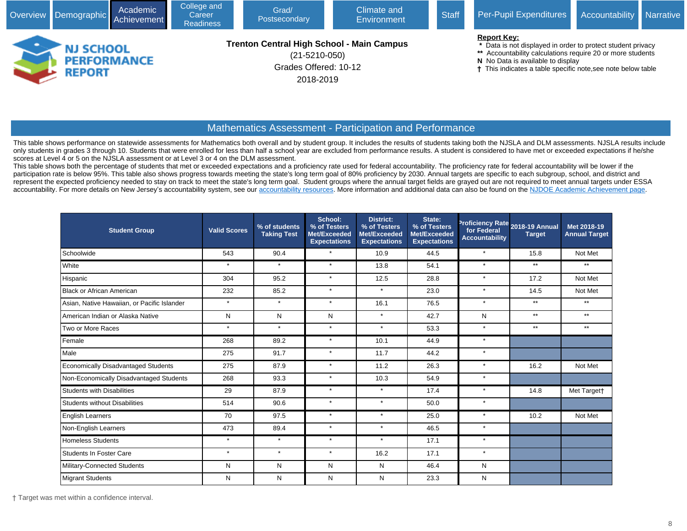|   | Overview Demographic              | Academic<br>Achievement | College and<br>Career<br><b>Readiness</b> | Grad/<br>Postsecondary                                                                                        | Climate and<br>Environment | Per-Pupil Expenditures | Accountability Narrative                                                                                                                                                                                                                           |  |  |
|---|-----------------------------------|-------------------------|-------------------------------------------|---------------------------------------------------------------------------------------------------------------|----------------------------|------------------------|----------------------------------------------------------------------------------------------------------------------------------------------------------------------------------------------------------------------------------------------------|--|--|
| - | <b>NJ SCHOOL</b><br><b>REPORT</b> | <b>PERFORMANCE</b>      |                                           | <b>Trenton Central High School - Main Campus</b><br>$(21 - 5210 - 050)$<br>Grades Offered: 10-12<br>2018-2019 |                            |                        | <b>Report Key:</b><br>* Data is not displayed in order to protect student privacy<br>** Accountability calculations require 20 or more students<br>N No Data is available to display<br>This indicates a table specific note, see note below table |  |  |

### Mathematics Assessment - Participation and Performance

This table shows performance on statewide assessments for Mathematics both overall and by student group. It includes the results of students taking both the NJSLA and DLM assessments. NJSLA results include only students in grades 3 through 10. Students that were enrolled for less than half a school year are excluded from performance results. A student is considered to have met or exceeded expectations if he/she scores at Level 4 or 5 on the NJSLA assessment or at Level 3 or 4 on the DLM assessment.

This table shows both the percentage of students that met or exceeded expectations and a proficiency rate used for federal accountability. The proficiency rate for federal accountability will be lower if the participation rate is below 95%. This table also shows progress towards meeting the state's long term goal of 80% proficiency by 2030. Annual targets are specific to each subgroup, school, and district and represent the expected proficiency needed to stay on track to meet the state's long term goal. Student groups where the annual target fields are grayed out are not required to meet annual targets under ESSA accountability. For more details on New Jersey's accountability system, see our [accountability resources](javascript:void(window.open(). More information and additional data can also be found on the [NJDOE Academic Achievement page.](javascript:void(window.open()

| <b>Student Group</b>                        | <b>Valid Scores</b> | % of students<br><b>Taking Test</b> | School:<br>% of Testers<br>Met/Exceeded<br><b>Expectations</b> | <b>District:</b><br>% of Testers<br>Met/Exceeded<br><b>Expectations</b> | State:<br>% of Testers<br>Met/Exceeded<br><b>Expectations</b> | for Federal<br><b>Accountability</b> | Proficiency Rate 2018-19 Annual<br><b>Target</b> | Met 2018-19<br><b>Annual Target</b> |
|---------------------------------------------|---------------------|-------------------------------------|----------------------------------------------------------------|-------------------------------------------------------------------------|---------------------------------------------------------------|--------------------------------------|--------------------------------------------------|-------------------------------------|
| Schoolwide                                  | 543                 | 90.4                                | $\star$                                                        | 10.9                                                                    | 44.5                                                          | $\star$                              | 15.8                                             | Not Met                             |
| White                                       | $\star$             | $\star$                             | $\star$                                                        | 13.8                                                                    | 54.1                                                          | $\star$                              | $***$                                            | $***$                               |
| Hispanic                                    | 304                 | 95.2                                | $\star$                                                        | 12.5                                                                    | 28.8                                                          | $\star$                              | 17.2                                             | Not Met                             |
| Black or African American                   | 232                 | 85.2                                | $\star$                                                        | $\star$                                                                 | 23.0                                                          | $\star$                              | 14.5                                             | Not Met                             |
| Asian, Native Hawaiian, or Pacific Islander | $\star$             | $\star$                             | $\star$                                                        | 16.1                                                                    | 76.5                                                          | $\star$                              | $**$                                             | $***$                               |
| American Indian or Alaska Native            | N                   | N                                   | N                                                              | $\star$                                                                 | 42.7                                                          | N                                    | $***$                                            | $***$                               |
| Two or More Races                           | $\star$             | $\star$                             | $\star$                                                        | $\star$                                                                 | 53.3                                                          | $\star$                              | $**$                                             | $**$                                |
| Female                                      | 268                 | 89.2                                | $\star$                                                        | 10.1                                                                    | 44.9                                                          | $\star$                              |                                                  |                                     |
| Male                                        | 275                 | 91.7                                | $\star$                                                        | 11.7                                                                    | 44.2                                                          | $\star$                              |                                                  |                                     |
| Economically Disadvantaged Students         | 275                 | 87.9                                | $\star$                                                        | 11.2                                                                    | 26.3                                                          | $\star$                              | 16.2                                             | Not Met                             |
| Non-Economically Disadvantaged Students     | 268                 | 93.3                                | $\star$                                                        | 10.3                                                                    | 54.9                                                          | $\star$                              |                                                  |                                     |
| Students with Disabilities                  | 29                  | 87.9                                | $\star$                                                        | $\star$                                                                 | 17.4                                                          | $\star$                              | 14.8                                             | Met Target†                         |
| Students without Disabilities               | 514                 | 90.6                                | $\star$                                                        | $\star$                                                                 | 50.0                                                          | $\star$                              |                                                  |                                     |
| <b>English Learners</b>                     | 70                  | 97.5                                | $\star$                                                        | $\star$                                                                 | 25.0                                                          | $\star$                              | 10.2                                             | Not Met                             |
| Non-English Learners                        | 473                 | 89.4                                | $\star$                                                        | $\star$                                                                 | 46.5                                                          | $\star$                              |                                                  |                                     |
| Homeless Students                           | $\star$             | $\star$                             | $\star$                                                        | $\star$                                                                 | 17.1                                                          | $\star$                              |                                                  |                                     |
| Students In Foster Care                     | $\star$             | $\star$                             | $\star$                                                        | 16.2                                                                    | 17.1                                                          | $\star$                              |                                                  |                                     |
| Military-Connected Students                 | N                   | N                                   | N                                                              | N                                                                       | 46.4                                                          | N                                    |                                                  |                                     |
| Migrant Students                            | N                   | N                                   | N                                                              | N                                                                       | 23.3                                                          | N                                    |                                                  |                                     |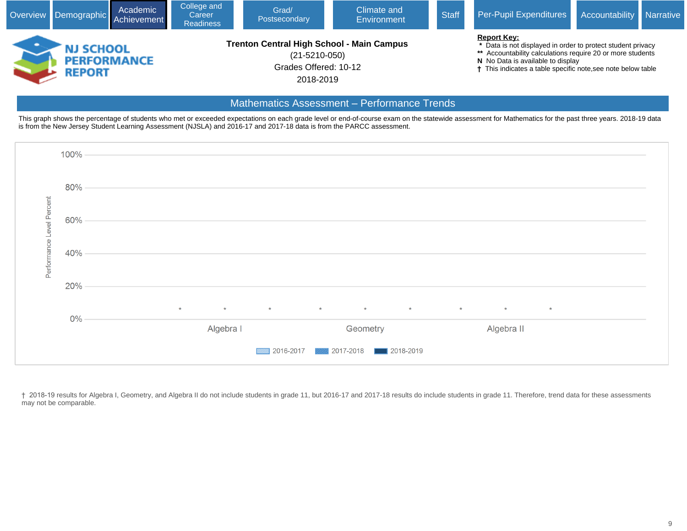| Overview Demographic Achievement  | Academic           | College and<br>Career<br><b>Readiness</b> | Grad/<br>Postsecondary                                                                                        | Climate and<br>Environment | Per-Pupil Expenditures | Accountability Narrative                                                                                                                                                                                                                                      |  |  |
|-----------------------------------|--------------------|-------------------------------------------|---------------------------------------------------------------------------------------------------------------|----------------------------|------------------------|---------------------------------------------------------------------------------------------------------------------------------------------------------------------------------------------------------------------------------------------------------------|--|--|
| <b>NJ SCHOOL</b><br><b>REPORT</b> | <b>PERFORMANCE</b> |                                           | <b>Trenton Central High School - Main Campus</b><br>$(21 - 5210 - 050)$<br>Grades Offered: 10-12<br>2018-2019 |                            |                        | <b>Report Key:</b><br>Data is not displayed in order to protect student privacy<br>** Accountability calculations require 20 or more students<br>N No Data is available to display<br><sup>†</sup> This indicates a table specific note, see note below table |  |  |

### Mathematics Assessment – Performance Trends

This graph shows the percentage of students who met or exceeded expectations on each grade level or end-of-course exam on the statewide assessment for Mathematics for the past three years. 2018-19 data is from the New Jersey Student Learning Assessment (NJSLA) and 2016-17 and 2017-18 data is from the PARCC assessment.



† 2018-19 results for Algebra I, Geometry, and Algebra II do not include students in grade 11, but 2016-17 and 2017-18 results do include students in grade 11. Therefore, trend data for these assessments may not be comparable.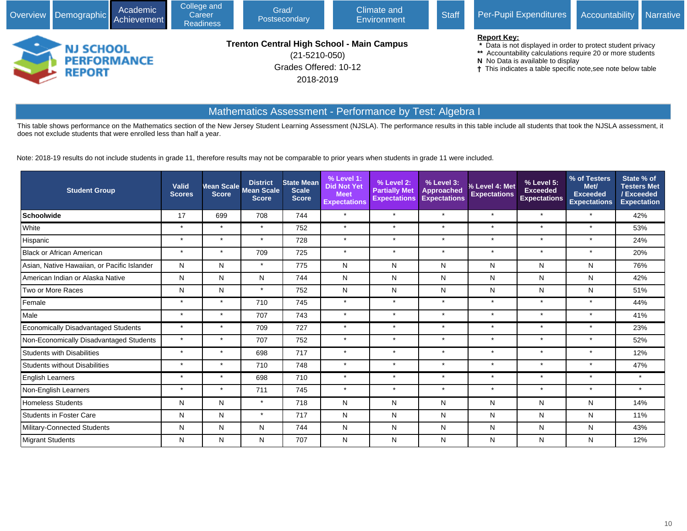|                                   | Academic<br>Overview Demographic Achievement | College and<br>Career<br><b>Readiness</b> | Grad/<br>Postsecondary                                                                                        | Climate and<br>Environment | Per-Pupil Expenditures | <b>Accountability</b> Narrative                                                                                                                                                                                                                    |  |  |
|-----------------------------------|----------------------------------------------|-------------------------------------------|---------------------------------------------------------------------------------------------------------------|----------------------------|------------------------|----------------------------------------------------------------------------------------------------------------------------------------------------------------------------------------------------------------------------------------------------|--|--|
| <b>NJ SCHOOL</b><br><b>REPORT</b> | <b>PERFORMANCE</b>                           |                                           | <b>Trenton Central High School - Main Campus</b><br>$(21 - 5210 - 050)$<br>Grades Offered: 10-12<br>2018-2019 |                            |                        | <b>Report Key:</b><br>Data is not displayed in order to protect student privacy<br>** Accountability calculations require 20 or more students<br>N No Data is available to display<br>† This indicates a table specific note, see note below table |  |  |

# Mathematics Assessment - Performance by Test: Algebra I

This table shows performance on the Mathematics section of the New Jersey Student Learning Assessment (NJSLA). The performance results in this table include all students that took the NJSLA assessment, it does not exclude students that were enrolled less than half a year.

Note: 2018-19 results do not include students in grade 11, therefore results may not be comparable to prior years when students in grade 11 were included.

| <b>Student Group</b>                        | Valid<br><b>Scores</b> | <b>Score</b> | <b>District</b><br>Mean Scale Mean Scale<br><b>Score</b> | <b>State Mean</b><br><b>Scale</b><br><b>Score</b> | % Level 1:<br><b>Did Not Yet</b><br><b>Meet</b><br><b>Expectations</b> | % Level 2:<br><b>Partially Met</b><br><b>Expectations</b> | % Level 3:<br><b>Approached</b><br><b>Expectations</b> | % Level 4: Met<br><b>Expectations</b> | % Level 5:<br><b>Exceeded</b><br><b>Expectations</b> | % of Testers<br>Met/<br><b>Exceeded</b><br><b>Expectations</b> | State % of<br><b>Testers Met</b><br>/Exceeded<br><b>Expectation</b> |
|---------------------------------------------|------------------------|--------------|----------------------------------------------------------|---------------------------------------------------|------------------------------------------------------------------------|-----------------------------------------------------------|--------------------------------------------------------|---------------------------------------|------------------------------------------------------|----------------------------------------------------------------|---------------------------------------------------------------------|
| Schoolwide                                  | 17                     | 699          | 708                                                      | 744                                               | $\star$                                                                | $\star$                                                   | $\star$                                                | $\star$                               | $\star$                                              | $\star$                                                        | 42%                                                                 |
| White                                       | $\star$                | $\star$      | $\star$                                                  | 752                                               | $\star$                                                                | $\star$                                                   | $\star$                                                | $\star$                               | $\star$                                              | $\star$                                                        | 53%                                                                 |
| Hispanic                                    | $\star$                | $\star$      | $\star$                                                  | 728                                               | $\star$                                                                | $\star$                                                   | $\star$                                                | $\star$                               | $\star$                                              | $\star$                                                        | 24%                                                                 |
| Black or African American                   | $\star$                | $\star$      | 709                                                      | 725                                               | $\star$                                                                | $\star$                                                   | $\star$                                                | $\star$                               | $\star$                                              | $\star$                                                        | 20%                                                                 |
| Asian, Native Hawaiian, or Pacific Islander | N                      | N            | $\star$                                                  | 775                                               | N                                                                      | N                                                         | N                                                      | N                                     | N                                                    | N                                                              | 76%                                                                 |
| American Indian or Alaska Native            | N                      | N            | N                                                        | 744                                               | N                                                                      | N                                                         | N                                                      | N                                     | N                                                    | N                                                              | 42%                                                                 |
| Two or More Races                           | N                      | N            | $\star$                                                  | 752                                               | N                                                                      | N                                                         | N                                                      | N                                     | N                                                    | N                                                              | 51%                                                                 |
| Female                                      | $\star$                | $\star$      | 710                                                      | 745                                               | $\star$                                                                | $\star$                                                   | $\star$                                                | $\star$                               | $\star$                                              | $\star$                                                        | 44%                                                                 |
| Male                                        | $\star$                | $\star$      | 707                                                      | 743                                               | $\star$                                                                | $\star$                                                   | $\star$                                                | $\star$                               | $\star$                                              | $\star$                                                        | 41%                                                                 |
| Economically Disadvantaged Students         | $\star$                | $\star$      | 709                                                      | 727                                               | $\star$                                                                | $\star$                                                   | $\star$                                                | $\star$                               | $\star$                                              | $\star$                                                        | 23%                                                                 |
| Non-Economically Disadvantaged Students     | $\star$                | $\star$      | 707                                                      | 752                                               | $\star$                                                                | $\star$                                                   | $\star$                                                | $\star$                               | $\star$                                              | $\star$                                                        | 52%                                                                 |
| Students with Disabilities                  | $\star$                | $\star$      | 698                                                      | 717                                               | $\star$                                                                | $\star$                                                   | $\star$                                                | $\star$                               | $\star$                                              | $\star$                                                        | 12%                                                                 |
| Students without Disabilities               | $\star$                | $\star$      | 710                                                      | 748                                               | $\star$                                                                | $\star$                                                   | $\star$                                                | $\star$                               | $\star$                                              | $\star$                                                        | 47%                                                                 |
| <b>English Learners</b>                     | $\star$                | $\star$      | 698                                                      | 710                                               | $\star$                                                                | $\star$                                                   | $\star$                                                | $\star$                               | $\star$                                              | $\star$                                                        | $\star$                                                             |
| Non-English Learners                        | $\star$                | $\star$      | 711                                                      | 745                                               | $\star$                                                                | $\star$                                                   | $\star$                                                | $\star$                               | $\star$                                              | $\star$                                                        | $\star$                                                             |
| <b>Homeless Students</b>                    | N                      | N            | $\star$                                                  | 718                                               | N                                                                      | N                                                         | N                                                      | N                                     | N                                                    | N                                                              | 14%                                                                 |
| <b>Students in Foster Care</b>              | N                      | N            | $\star$                                                  | 717                                               | N                                                                      | N                                                         | N                                                      | N                                     | N                                                    | N                                                              | 11%                                                                 |
| Military-Connected Students                 | $\mathsf{N}$           | N            | N                                                        | 744                                               | N                                                                      | N                                                         | N                                                      | N                                     | N                                                    | N                                                              | 43%                                                                 |
| Migrant Students                            | N                      | N            | N                                                        | 707                                               | N                                                                      | N                                                         | N                                                      | N                                     | N                                                    | N                                                              | 12%                                                                 |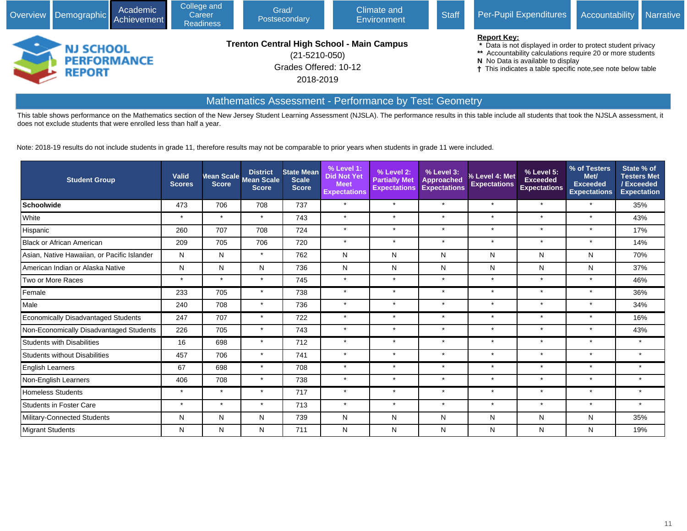| Academic<br>Overview Demographic Achievement |                                                         | College and<br>Career<br><b>Readiness</b> | Grad/<br>Postsecondary | Climate and<br><b>Environment</b>                                                                             | <b>Staff</b> | Per-Pupil Expenditures | Accountability                                                                                                                                                                                                                                                  | <b>Narrative</b> |  |
|----------------------------------------------|---------------------------------------------------------|-------------------------------------------|------------------------|---------------------------------------------------------------------------------------------------------------|--------------|------------------------|-----------------------------------------------------------------------------------------------------------------------------------------------------------------------------------------------------------------------------------------------------------------|------------------|--|
|                                              | <b>NJ SCHOOL</b><br><b>PERFORMANCE</b><br><b>REPORT</b> |                                           |                        | <b>Trenton Central High School - Main Campus</b><br>$(21 - 5210 - 050)$<br>Grades Offered: 10-12<br>2018-2019 |              |                        | <b>Report Key:</b><br>* Data is not displayed in order to protect student privacy<br>** Accountability calculations require 20 or more students<br>N No Data is available to display<br><sup>†</sup> This indicates a table specific note, see note below table |                  |  |

# Mathematics Assessment - Performance by Test: Geometry

This table shows performance on the Mathematics section of the New Jersey Student Learning Assessment (NJSLA). The performance results in this table include all students that took the NJSLA assessment, it does not exclude students that were enrolled less than half a year.

Note: 2018-19 results do not include students in grade 11, therefore results may not be comparable to prior years when students in grade 11 were included.

| <b>Student Group</b>                        | Valid<br><b>Scores</b> | <b>Score</b> | <b>District</b><br>Mean Scale Mean Scale<br><b>Score</b> | <b>State Mean</b><br><b>Scale</b><br><b>Score</b> | % Level 1:<br><b>Did Not Yet</b><br><b>Meet</b><br><b>Expectations</b> | % Level 2:<br><b>Partially Met</b><br><b>Expectations</b> | % Level 3:<br>Approached<br><b>Expectations</b> | % Level 4: Met<br><b>Expectations</b> | % Level 5:<br><b>Exceeded</b><br><b>Expectations</b> | % of Testers<br>Met/<br><b>Exceeded</b><br><b>Expectations</b> | State % of<br><b>Testers Met</b><br>/Exceeded<br><b>Expectation</b> |
|---------------------------------------------|------------------------|--------------|----------------------------------------------------------|---------------------------------------------------|------------------------------------------------------------------------|-----------------------------------------------------------|-------------------------------------------------|---------------------------------------|------------------------------------------------------|----------------------------------------------------------------|---------------------------------------------------------------------|
| Schoolwide                                  | 473                    | 706          | 708                                                      | 737                                               | $\star$                                                                | $\star$                                                   | $\star$                                         | $\star$                               | $\star$                                              | $\star$                                                        | 35%                                                                 |
| White                                       | $\star$                | $\star$      | $\star$                                                  | 743                                               | $\star$                                                                | $\star$                                                   | $\star$                                         | $\star$                               | $\star$                                              | $\star$                                                        | 43%                                                                 |
| Hispanic                                    | 260                    | 707          | 708                                                      | 724                                               | $\star$                                                                | $\star$                                                   | $\star$                                         | $\star$                               | $\star$                                              | $\star$                                                        | 17%                                                                 |
| Black or African American                   | 209                    | 705          | 706                                                      | 720                                               | $\star$                                                                | $\star$                                                   | $\star$                                         | $\star$                               | $\star$                                              | $\star$                                                        | 14%                                                                 |
| Asian, Native Hawaiian, or Pacific Islander | N                      | N            | $\star$                                                  | 762                                               | N                                                                      | N                                                         | $\mathsf{N}$                                    | N                                     | N                                                    | N                                                              | 70%                                                                 |
| American Indian or Alaska Native            | N                      | N            | N                                                        | 736                                               | N                                                                      | N                                                         | N                                               | N                                     | N                                                    | N                                                              | 37%                                                                 |
| Two or More Races                           | $\star$                | $\star$      | $\star$                                                  | 745                                               | $\star$                                                                | $\star$                                                   | $\star$                                         | $\star$                               | $\star$                                              | $\star$                                                        | 46%                                                                 |
| Female                                      | 233                    | 705          | $\star$                                                  | 738                                               | $\star$                                                                | $\star$                                                   | $\star$                                         | $\star$                               | $\star$                                              | $\star$                                                        | 36%                                                                 |
| Male                                        | 240                    | 708          | $\star$                                                  | 736                                               | $\star$                                                                | $\star$                                                   | $\star$                                         | $\star$                               | $\star$                                              | $\star$                                                        | 34%                                                                 |
| Economically Disadvantaged Students         | 247                    | 707          | $\star$                                                  | 722                                               | $\star$                                                                | $\star$                                                   | $\star$                                         | $\star$                               | $\star$                                              | $\star$                                                        | 16%                                                                 |
| Non-Economically Disadvantaged Students     | 226                    | 705          | $\star$                                                  | 743                                               | $\star$                                                                | $\star$                                                   | $\star$                                         | $\star$                               | $\star$                                              | $\star$                                                        | 43%                                                                 |
| Students with Disabilities                  | 16                     | 698          | $\star$                                                  | 712                                               | $\star$                                                                | $\star$                                                   | $\star$                                         | $\star$                               | $\star$                                              | $\star$                                                        | $\star$                                                             |
| Students without Disabilities               | 457                    | 706          | $\star$                                                  | 741                                               | $\star$                                                                | $\star$                                                   | $\star$                                         | $\star$                               | $\star$                                              | $\star$                                                        | $\star$                                                             |
| <b>English Learners</b>                     | 67                     | 698          | $\star$                                                  | 708                                               | $\star$                                                                | $\star$                                                   | $\star$                                         | $\star$                               | $\star$                                              | $\star$                                                        | $\star$                                                             |
| Non-English Learners                        | 406                    | 708          | $\star$                                                  | 738                                               | $\star$                                                                | $\star$                                                   | $\star$                                         | $\star$                               | $\star$                                              | $\star$                                                        | $\star$                                                             |
| <b>Homeless Students</b>                    | $\star$                | $\star$      | $\star$                                                  | 717                                               | $\star$                                                                | $\star$                                                   | $\star$                                         | $\star$                               | $\star$                                              | $\star$                                                        | $\star$                                                             |
| <b>Students in Foster Care</b>              | $\star$                | $\star$      | $\star$                                                  | 713                                               | $\star$                                                                | $\star$                                                   | $\star$                                         | $\star$                               | $\star$                                              | $\star$                                                        | $\star$                                                             |
| Military-Connected Students                 | N                      | N            | N                                                        | 739                                               | N                                                                      | N                                                         | N                                               | N                                     | N                                                    | Ν                                                              | 35%                                                                 |
| <b>Migrant Students</b>                     | Ν                      | N            | ${\sf N}$                                                | 711                                               | N                                                                      | N                                                         | Ν                                               | N                                     | N                                                    | N                                                              | 19%                                                                 |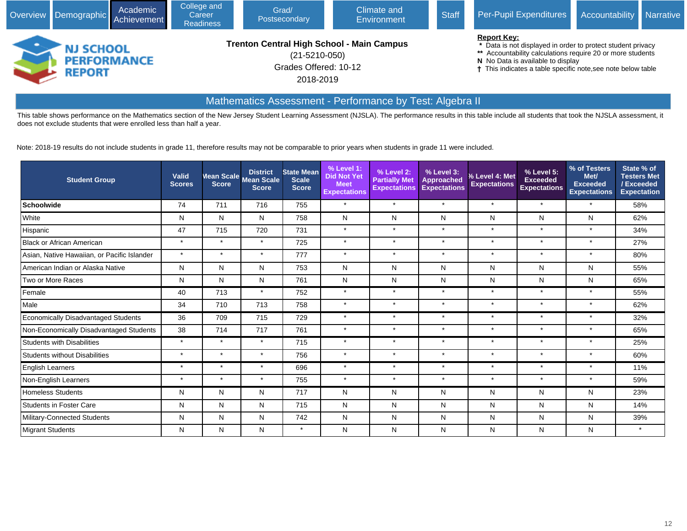| Overview Demographic Achievement |                                                         | Academic | College and<br>Career<br><b>Readiness</b> | Grad/<br>Postsecondary                                                                                 | Climate and<br>Environment | <b>Staff</b> | Per-Pupil Expenditures                                                                                                                                                                                                                               | <b>Accountability</b> | <b>Narrative</b> |
|----------------------------------|---------------------------------------------------------|----------|-------------------------------------------|--------------------------------------------------------------------------------------------------------|----------------------------|--------------|------------------------------------------------------------------------------------------------------------------------------------------------------------------------------------------------------------------------------------------------------|-----------------------|------------------|
|                                  | <b>NJ SCHOOL</b><br><b>PERFORMANCE</b><br><b>REPORT</b> |          |                                           | Trenton Central High School - Main Campus<br>$(21 - 5210 - 050)$<br>Grades Offered: 10-12<br>2018-2019 |                            |              | <b>Report Key:</b><br>* Data is not displayed in order to protect student privacy<br>** Accountability calculations require 20 or more students<br>N No Data is available to display<br>† This indicates a table specific note, see note below table |                       |                  |

# Mathematics Assessment - Performance by Test: Algebra II

This table shows performance on the Mathematics section of the New Jersey Student Learning Assessment (NJSLA). The performance results in this table include all students that took the NJSLA assessment, it does not exclude students that were enrolled less than half a year.

Note: 2018-19 results do not include students in grade 11, therefore results may not be comparable to prior years when students in grade 11 were included.

| <b>Student Group</b>                        | <b>Valid</b><br><b>Scores</b> |         | <b>District</b><br>Mean Scale Mean Scale<br><b>Score</b> | <b>State Mean</b><br><b>Scale</b><br><b>Score</b> | % Level 1:<br><b>Did Not Yet</b><br><b>Meet</b><br><b>Expectations</b> | % Level 2:<br><b>Partially Met</b><br><b>Expectations</b> | % Level 3:<br><b>Approached</b><br><b>Expectations</b> | % Level 4: Met<br><b>Expectations</b> | % Level 5:<br><b>Exceeded</b><br><b>Expectations</b> | % of Testers<br>Met/<br><b>Exceeded</b><br><b>Expectations</b> | State % of<br><b>Testers Met</b><br>/Exceeded<br><b>Expectation</b> |
|---------------------------------------------|-------------------------------|---------|----------------------------------------------------------|---------------------------------------------------|------------------------------------------------------------------------|-----------------------------------------------------------|--------------------------------------------------------|---------------------------------------|------------------------------------------------------|----------------------------------------------------------------|---------------------------------------------------------------------|
| Schoolwide                                  | 74                            | 711     | 716                                                      | 755                                               | $\star$                                                                | $\star$                                                   | $\star$                                                | $\star$                               | $\star$                                              | $\star$                                                        | 58%                                                                 |
| <b>White</b>                                | N                             | N       | N                                                        | 758                                               | N                                                                      | N                                                         | N                                                      | N                                     | N                                                    | N                                                              | 62%                                                                 |
| Hispanic                                    | 47                            | 715     | 720                                                      | 731                                               | $\star$                                                                | $\star$                                                   | $\star$                                                | $\star$                               | $\star$                                              | $\star$                                                        | 34%                                                                 |
| Black or African American                   | $\star$                       | $\star$ | $\star$                                                  | 725                                               | $\star$                                                                | $\star$                                                   | $\star$                                                | $\star$                               | $\star$                                              | $\star$                                                        | 27%                                                                 |
| Asian, Native Hawaiian, or Pacific Islander | $\star$                       | $\star$ | $\star$                                                  | 777                                               | $\star$                                                                | $\star$                                                   | $\star$                                                | $\star$                               | $\star$                                              | $\star$                                                        | 80%                                                                 |
| American Indian or Alaska Native            | N                             | N       | N                                                        | 753                                               | N                                                                      | N                                                         | N                                                      | N                                     | N                                                    | Ν                                                              | 55%                                                                 |
| Two or More Races                           | N                             | N       | N                                                        | 761                                               | N                                                                      | N                                                         | N                                                      | N                                     | N                                                    | N                                                              | 65%                                                                 |
| Female                                      | 40                            | 713     | $\star$                                                  | 752                                               | $\star$                                                                | $\star$                                                   | $\star$                                                | $\star$                               | $\star$                                              | $\star$                                                        | 55%                                                                 |
| Male                                        | 34                            | 710     | 713                                                      | 758                                               | $\star$                                                                | $\star$                                                   | $\star$                                                | $\star$                               | $\star$                                              | $\star$                                                        | 62%                                                                 |
| Economically Disadvantaged Students         | 36                            | 709     | 715                                                      | 729                                               | $\star$                                                                | $\star$                                                   | $\star$                                                | $\star$                               | $\star$                                              | $\star$                                                        | 32%                                                                 |
| Non-Economically Disadvantaged Students     | 38                            | 714     | 717                                                      | 761                                               | $\star$                                                                | $\star$                                                   | $\star$                                                | $\star$                               | $\star$                                              | $\star$                                                        | 65%                                                                 |
| Students with Disabilities                  | $\star$                       | $\star$ | $\star$                                                  | 715                                               | $\star$                                                                | $\star$                                                   | $\star$                                                | $\star$                               | $\star$                                              | $\star$                                                        | 25%                                                                 |
| Students without Disabilities               | $\star$                       | $\star$ | $\star$                                                  | 756                                               | $\star$                                                                | $\star$                                                   | $\star$                                                | $\star$                               | $\star$                                              | $\star$                                                        | 60%                                                                 |
| <b>English Learners</b>                     | $\star$                       | $\star$ | $\star$                                                  | 696                                               | $\star$                                                                | $\star$                                                   | $\star$                                                | $\star$                               | $\star$                                              | $\star$                                                        | 11%                                                                 |
| Non-English Learners                        | $\star$                       | $\star$ | $\star$                                                  | 755                                               | $\star$                                                                | $\star$                                                   | $\star$                                                | $\star$                               | $\star$                                              | $\star$                                                        | 59%                                                                 |
| Homeless Students                           | N                             | N       | N                                                        | 717                                               | N                                                                      | N                                                         | N                                                      | N                                     | N                                                    | Ν                                                              | 23%                                                                 |
| Students in Foster Care                     | N                             | N       | N                                                        | 715                                               | N                                                                      | N                                                         | N                                                      | N                                     | N                                                    | N                                                              | 14%                                                                 |
| Military-Connected Students                 | N                             | N       | N                                                        | 742                                               | N                                                                      | N                                                         | N                                                      | N                                     | N                                                    | N                                                              | 39%                                                                 |
| <b>Migrant Students</b>                     | N                             | N       | N                                                        | $\star$                                           | N                                                                      | N                                                         | N                                                      | N                                     | N                                                    | N                                                              | $\star$                                                             |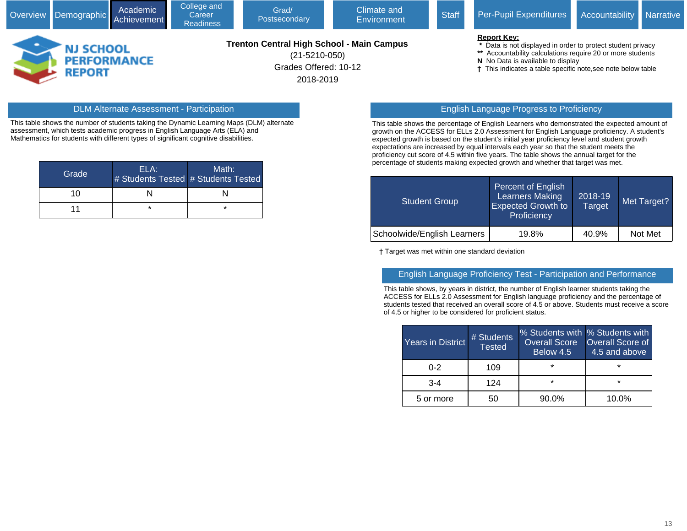|                                                  |  | Overview Demographic Achievement | Academic                                                                                                      | College and<br>Career<br><b>Readiness</b> | Grad/<br>Postsecondary | Climate and<br>Environment                                                                                                                                                                                                                         | <b>Staff</b> | Per-Pupil Expenditures Accountability Narrative |  |
|--------------------------------------------------|--|----------------------------------|---------------------------------------------------------------------------------------------------------------|-------------------------------------------|------------------------|----------------------------------------------------------------------------------------------------------------------------------------------------------------------------------------------------------------------------------------------------|--------------|-------------------------------------------------|--|
| <b>NJ SCHOOL</b><br><b>PERFORMANCE</b><br>REPORT |  |                                  | <b>Trenton Central High School - Main Campus</b><br>$(21 - 5210 - 050)$<br>Grades Offered: 10-12<br>2018-2019 |                                           |                        | <b>Report Key:</b><br>Data is not displayed in order to protect student privacy<br>** Accountability calculations require 20 or more students<br>N No Data is available to display<br>† This indicates a table specific note, see note below table |              |                                                 |  |

This table shows the number of students taking the Dynamic Learning Maps (DLM) alternate assessment, which tests academic progress in English Language Arts (ELA) and Mathematics for students with different types of significant cognitive disabilities.

| Grade | ELA: | Math:<br># Students Tested # Students Tested |
|-------|------|----------------------------------------------|
| 10    |      |                                              |
| 11    | ×    | $\star$                                      |

#### DLM Alternate Assessment - Participation English Language Progress to Proficiency

This table shows the percentage of English Learners who demonstrated the expected amount of growth on the ACCESS for ELLs 2.0 Assessment for English Language proficiency. A student's expected growth is based on the student's initial year proficiency level and student growth expectations are increased by equal intervals each year so that the student meets the proficiency cut score of 4.5 within five years. The table shows the annual target for the percentage of students making expected growth and whether that target was met.

| Student Group               | Percent of English<br><b>Learners Making</b><br><b>Expected Growth to</b><br>Proficiency | 2018-19<br>Target | Met Target? |
|-----------------------------|------------------------------------------------------------------------------------------|-------------------|-------------|
| Schoolwide/English Learners | 19.8%                                                                                    | 40.9%             | Not Met     |

† Target was met within one standard deviation

#### English Language Proficiency Test - Participation and Performance

This table shows, by years in district, the number of English learner students taking the ACCESS for ELLs 2.0 Assessment for English language proficiency and the percentage of students tested that received an overall score of 4.5 or above. Students must receive a score of 4.5 or higher to be considered for proficient status.

| Years in District | # Students<br><b>Tested</b> | % Students with % Students with<br>Overall Score<br>Below 4.5 | <b>Overall Score of</b><br>4.5 and above |
|-------------------|-----------------------------|---------------------------------------------------------------|------------------------------------------|
| $0 - 2$           | 109                         | $\star$                                                       | *                                        |
| $3-4$             | 124                         | $\star$                                                       | $\star$                                  |
| 5 or more         | 50                          | 90.0%                                                         | 10.0%                                    |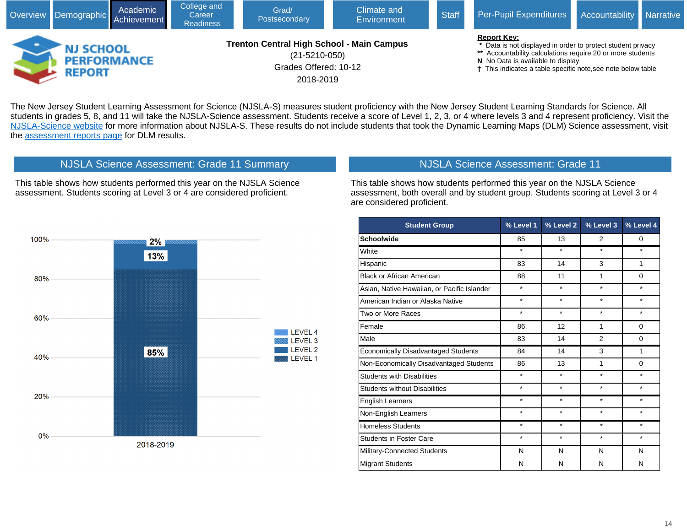

The New Jersey Student Learning Assessment for Science (NJSLA-S) measures student proficiency with the New Jersey Student Learning Standards for Science. All students in grades 5, 8, and 11 will take the NJSLA-Science assessment. Students receive a score of Level 1, 2, 3, or 4 where levels 3 and 4 represent proficiency. Visit the [NJSLA-Science website](javascript:void(window.open() for more information about NJSLA-S. These results do not include students that took the Dynamic Learning Maps (DLM) Science assessment, visit the [assessment reports page](javascript:void(window.open() for DLM results.



This table shows how students performed this year on the NJSLA Science assessment. Students scoring at Level 3 or 4 are considered proficient.

NJSLA Science Assessment: Grade 11 Summary

# NJSLA Science Assessment: Grade 11

This table shows how students performed this year on the NJSLA Science assessment, both overall and by student group. Students scoring at Level 3 or 4 are considered proficient.

| <b>Student Group</b>                        | % Level 1 | % Level 2 | % Level 3      | % Level 4 |
|---------------------------------------------|-----------|-----------|----------------|-----------|
| <b>Schoolwide</b>                           | 85        | 13        | 2              | 0         |
| White                                       | $\star$   | $\star$   | $\star$        | $\star$   |
| Hispanic                                    | 83        | 14        | 3              | 1         |
| <b>Black or African American</b>            | 88        | 11        | 1              | $\Omega$  |
| Asian, Native Hawaiian, or Pacific Islander | $\star$   | $\star$   | $\star$        | ÷         |
| American Indian or Alaska Native            | $\star$   | $\star$   | $\star$        | $\star$   |
| Two or More Races                           | $\star$   | $\star$   | $\star$        | *         |
| Female                                      | 86        | 12        | 1              | $\Omega$  |
| Male                                        | 83        | 14        | $\overline{2}$ | $\Omega$  |
| <b>Economically Disadvantaged Students</b>  | 84        | 14        | 3              | 1         |
| Non-Economically Disadvantaged Students     | 86        | 13        | 1              | $\Omega$  |
| <b>Students with Disabilities</b>           | $\star$   | $\star$   | $\star$        | $\star$   |
| <b>Students without Disabilities</b>        | $\star$   | $\star$   | $\star$        | $\star$   |
| <b>English Learners</b>                     | $\star$   | $\star$   | $\star$        | $\star$   |
| Non-English Learners                        | $\star$   | $\star$   | $\star$        | $\star$   |
| <b>Homeless Students</b>                    | $^\star$  | $\star$   | $\star$        | $\star$   |
| <b>Students in Foster Care</b>              | $\star$   | $\star$   | $\star$        | $\star$   |
| Military-Connected Students                 | N         | N         | N              | N         |
| <b>Migrant Students</b>                     | N         | N         | N              | N         |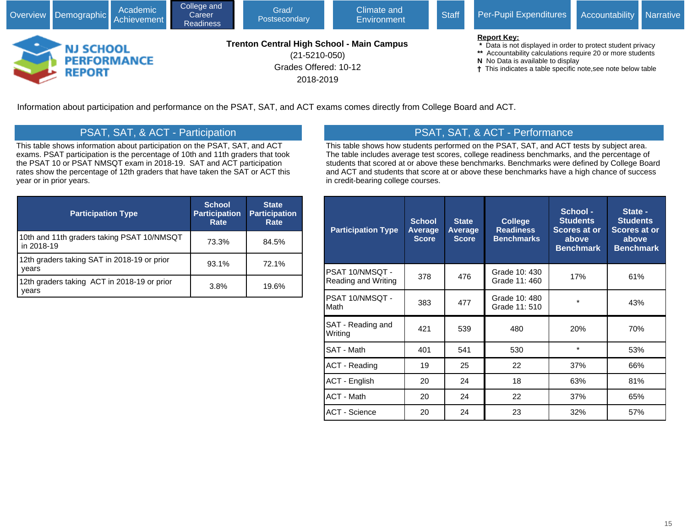

Information about participation and performance on the PSAT, SAT, and ACT exams comes directly from College Board and ACT.

# PSAT, SAT, & ACT - Participation

This table shows information about participation on the PSAT, SAT, and ACT exams. PSAT participation is the percentage of 10th and 11th graders that took the PSAT 10 or PSAT NMSQT exam in 2018-19. SAT and ACT participation rates show the percentage of 12th graders that have taken the SAT or ACT this year or in prior years.

| <b>Participation Type</b>                                | <b>School</b><br><b>Participation</b><br>Rate | <b>State</b><br><b>Participation</b><br>Rate |
|----------------------------------------------------------|-----------------------------------------------|----------------------------------------------|
| 10th and 11th graders taking PSAT 10/NMSQT<br>in 2018-19 | 73.3%                                         | 84.5%                                        |
| 12th graders taking SAT in 2018-19 or prior<br>years     | 93.1%                                         | 72.1%                                        |
| 12th graders taking ACT in 2018-19 or prior<br>vears     | 3.8%                                          | 19.6%                                        |

# PSAT, SAT, & ACT - Performance

This table shows how students performed on the PSAT, SAT, and ACT tests by subject area. The table includes average test scores, college readiness benchmarks, and the percentage of students that scored at or above these benchmarks. Benchmarks were defined by College Board and ACT and students that score at or above these benchmarks have a high chance of success in credit-bearing college courses.

| <b>Participation Type</b>              | <b>School</b><br>Average<br><b>Score</b> | <b>State</b><br>Average<br><b>Score</b> | <b>College</b><br><b>Readiness</b><br><b>Benchmarks</b> | School -<br><b>Students</b><br>Scores at or<br>above<br><b>Benchmark</b> | State -<br><b>Students</b><br><b>Scores at or</b><br>above<br><b>Benchmark</b> |
|----------------------------------------|------------------------------------------|-----------------------------------------|---------------------------------------------------------|--------------------------------------------------------------------------|--------------------------------------------------------------------------------|
| PSAT 10/NMSQT -<br>Reading and Writing | 378                                      | 476                                     | Grade 10: 430<br>Grade 11: 460                          | 17%                                                                      | 61%                                                                            |
| PSAT 10/NMSQT -<br>Math                | 383                                      | 477                                     | Grade 10: 480<br>Grade 11: 510                          | $\star$                                                                  | 43%                                                                            |
| SAT - Reading and<br>Writing           | 421                                      | 539                                     | 480                                                     | 20%                                                                      | 70%                                                                            |
| SAT - Math                             | 401                                      | 541                                     | 530                                                     | $\star$                                                                  | 53%                                                                            |
| <b>ACT - Reading</b>                   | 19                                       | 25                                      | 22                                                      | 37%                                                                      | 66%                                                                            |
| <b>ACT - English</b>                   | 20                                       | 24                                      | 18                                                      | 63%                                                                      | 81%                                                                            |
| <b>ACT - Math</b>                      | 20                                       | 24                                      | 22                                                      | 37%                                                                      | 65%                                                                            |
| <b>ACT - Science</b>                   | 20                                       | 24                                      | 23                                                      | 32%                                                                      | 57%                                                                            |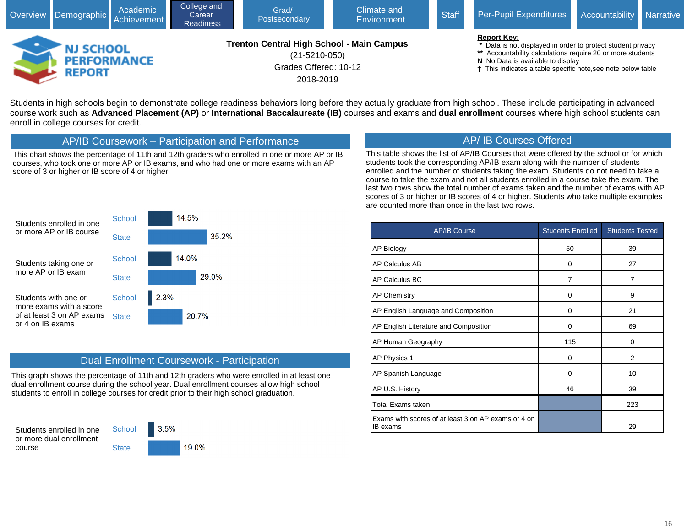

Students in high schools begin to demonstrate college readiness behaviors long before they actually graduate from high school. These include participating in advanced course work such as **Advanced Placement (AP)** or **International Baccalaureate (IB)** courses and exams and **dual enrollment** courses where high school students can enroll in college courses for credit.

AP/IB Coursework – Participation and Performance

This chart shows the percentage of 11th and 12th graders who enrolled in one or more AP or IB courses, who took one or more AP or IB exams, and who had one or more exams with an AP score of 3 or higher or IB score of 4 or higher.

# AP/ IB Courses Offered

This table shows the list of AP/IB Courses that were offered by the school or for which students took the corresponding AP/IB exam along with the number of students enrolled and the number of students taking the exam. Students do not need to take a course to take the exam and not all students enrolled in a course take the exam. The last two rows show the total number of exams taken and the number of exams with AP scores of 3 or higher or IB scores of 4 or higher. Students who take multiple examples are counted more than once in the last two rows.





### Dual Enrollment Coursework - Participation

This graph shows the percentage of 11th and 12th graders who were enrolled in at least one dual enrollment course during the school year. Dual enrollment courses allow high school students to enroll in college courses for credit prior to their high school graduation.

Students enrolled in one or more dual enrollment course



**State** 

| <b>AP/IB Course</b>                                             | <b>Students Enrolled</b> | <b>Students Tested</b> |
|-----------------------------------------------------------------|--------------------------|------------------------|
| AP Biology                                                      | 50                       | 39                     |
| AP Calculus AB                                                  | 0                        | 27                     |
| AP Calculus BC                                                  | 7                        | $\overline{7}$         |
| <b>AP Chemistry</b>                                             | 0                        | 9                      |
| AP English Language and Composition                             | 0                        | 21                     |
| AP English Literature and Composition                           | 0                        | 69                     |
| AP Human Geography                                              | 115                      | 0                      |
| AP Physics 1                                                    | 0                        | $\overline{2}$         |
| AP Spanish Language                                             | 0                        | 10                     |
| AP U.S. History                                                 | 46                       | 39                     |
| Total Exams taken                                               |                          | 223                    |
| Exams with scores of at least 3 on AP exams or 4 on<br>IB exams |                          | 29                     |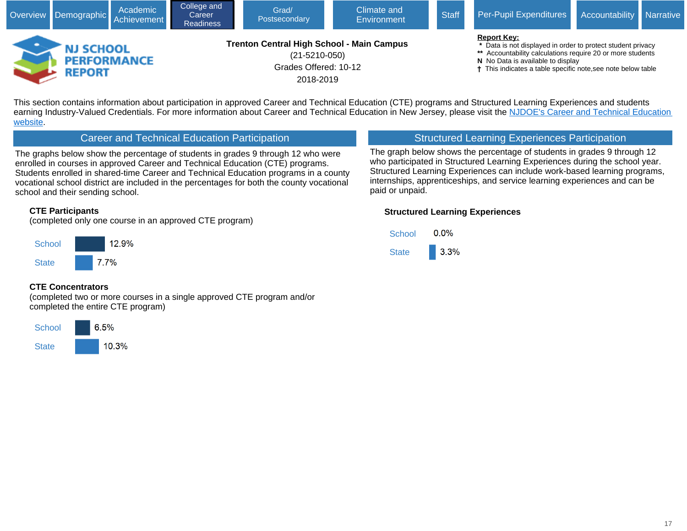

This section contains information about participation in approved Career and Technical Education (CTE) programs and Structured Learning Experiences and students earning Industry-Valued Credentials. For more information about Career and Technical Education in New Jersey, please visit the NJDOE's Career and Technical Education [website.](javascript:void(window.open()

### Career and Technical Education Participation

The graphs below show the percentage of students in grades 9 through 12 who were enrolled in courses in approved Career and Technical Education (CTE) programs. Students enrolled in shared-time Career and Technical Education programs in a county vocational school district are included in the percentages for both the county vocational school and their sending school.

#### **CTE Participants**

(completed only one course in an approved CTE program)



#### **CTE Concentrators**

(completed two or more courses in a single approved CTE program and/or completed the entire CTE program)



# Structured Learning Experiences Participation

The graph below shows the percentage of students in grades 9 through 12 who participated in Structured Learning Experiences during the school year. Structured Learning Experiences can include work-based learning programs, internships, apprenticeships, and service learning experiences and can be paid or unpaid.

#### **Structured Learning Experiences**

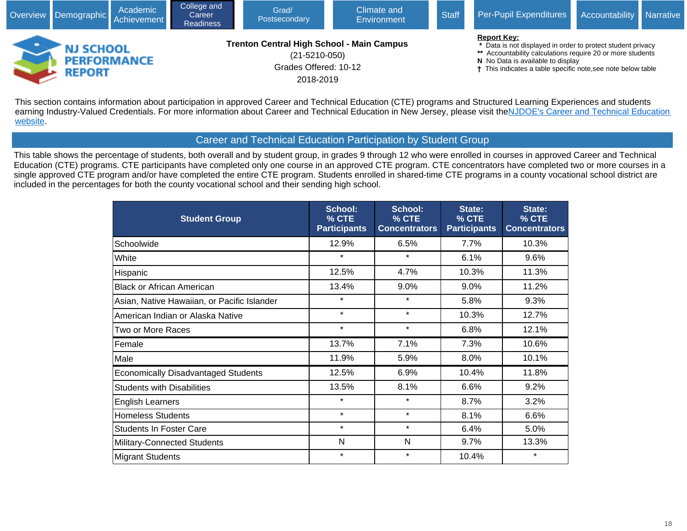

This section contains information about participation in approved Career and Technical Education (CTE) programs and Structured Learning Experiences and students earning Industry-Valued Credentials. For more information about Career and Technical Education in New Jersey, please visit the NJDOE's Career and Technical Education [website](javascript:void(window.open().

### Career and Technical Education Participation by Student Group

This table shows the percentage of students, both overall and by student group, in grades 9 through 12 who were enrolled in courses in approved Career and Technical Education (CTE) programs. CTE participants have completed only one course in an approved CTE program. CTE concentrators have completed two or more courses in a single approved CTE program and/or have completed the entire CTE program. Students enrolled in shared-time CTE programs in a county vocational school district are included in the percentages for both the county vocational school and their sending high school.

| <b>Student Group</b>                        | <b>School:</b><br>% CTE<br><b>Participants</b> | School:<br>% CTE<br><b>Concentrators</b> | State:<br>% CTE<br><b>Participants</b> | State:<br>% CTE<br><b>Concentrators</b> |
|---------------------------------------------|------------------------------------------------|------------------------------------------|----------------------------------------|-----------------------------------------|
| Schoolwide                                  | 12.9%                                          | 6.5%                                     | 7.7%                                   | 10.3%                                   |
| White                                       | $\star$                                        | $\star$                                  | 6.1%                                   | 9.6%                                    |
| Hispanic                                    | 12.5%                                          | 4.7%                                     | 10.3%                                  | 11.3%                                   |
| <b>Black or African American</b>            | 13.4%                                          | 9.0%                                     | 9.0%                                   | 11.2%                                   |
| Asian, Native Hawaiian, or Pacific Islander | $\star$                                        | $\star$                                  | 5.8%                                   | 9.3%                                    |
| American Indian or Alaska Native            | $\star$                                        | $\star$                                  | 10.3%                                  | 12.7%                                   |
| Two or More Races                           | $\star$                                        | $\star$                                  | 6.8%                                   | 12.1%                                   |
| Female                                      | 13.7%                                          | 7.1%                                     | 7.3%                                   | 10.6%                                   |
| Male                                        | 11.9%                                          | 5.9%                                     | 8.0%                                   | 10.1%                                   |
| <b>Economically Disadvantaged Students</b>  | 12.5%                                          | 6.9%                                     | 10.4%                                  | 11.8%                                   |
| <b>Students with Disabilities</b>           | 13.5%                                          | 8.1%                                     | 6.6%                                   | 9.2%                                    |
| <b>English Learners</b>                     | $\star$                                        | $\star$                                  | 8.7%                                   | 3.2%                                    |
| <b>Homeless Students</b>                    | $\star$                                        | $\star$                                  | 8.1%                                   | 6.6%                                    |
| <b>Students In Foster Care</b>              | $\star$                                        | $\star$                                  | 6.4%                                   | 5.0%                                    |
| Military-Connected Students                 | N                                              | N                                        | 9.7%                                   | 13.3%                                   |
| <b>Migrant Students</b>                     | $\star$                                        | $\star$                                  | 10.4%                                  | $\star$                                 |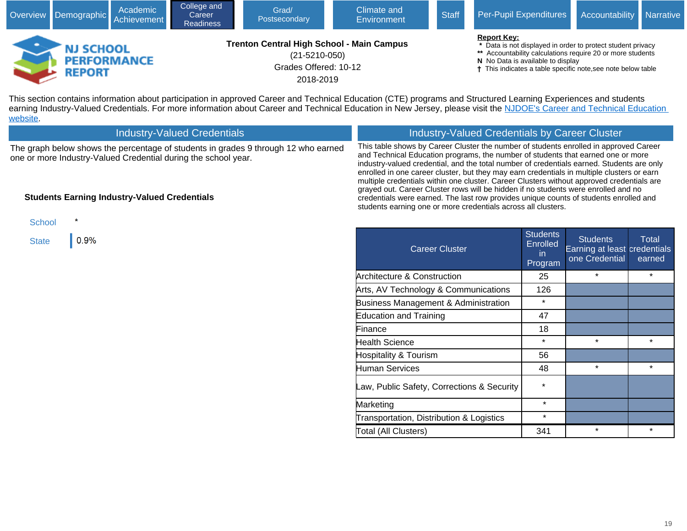|                                   | Academic<br>Overview Demographic Achievement | College and<br>Career<br><b>Readiness</b> | Grad/<br>Postsecondary                                                                                        | Climate and<br><b>Environment</b> | <b>Staff</b> | Per-Pupil Expenditures Accountability Narrative                                                                                                                                                                                                      |  |
|-----------------------------------|----------------------------------------------|-------------------------------------------|---------------------------------------------------------------------------------------------------------------|-----------------------------------|--------------|------------------------------------------------------------------------------------------------------------------------------------------------------------------------------------------------------------------------------------------------------|--|
| <b>NJ SCHOOL</b><br><b>REPORT</b> | <b>PERFORMANCE</b>                           |                                           | <b>Trenton Central High School - Main Campus</b><br>$(21 - 5210 - 050)$<br>Grades Offered: 10-12<br>2018-2019 |                                   |              | <b>Report Key:</b><br>* Data is not displayed in order to protect student privacy<br>** Accountability calculations require 20 or more students<br>N No Data is available to display<br>† This indicates a table specific note, see note below table |  |

This section contains information about participation in approved Career and Technical Education (CTE) programs and Structured Learning Experiences and students earning Industry-Valued Credentials. For more information about Career and Technical Education in New Jersey, please visit the NJDOE's Career and Technical Education **[website](javascript:void(window.open()** 

| <b>Industry-Valued Credentials</b>                                                                                                                   | Industry-Valued Credentials by Career Cluster                                                                                                                                                                                                                                                                                                                                                                                                                     |
|------------------------------------------------------------------------------------------------------------------------------------------------------|-------------------------------------------------------------------------------------------------------------------------------------------------------------------------------------------------------------------------------------------------------------------------------------------------------------------------------------------------------------------------------------------------------------------------------------------------------------------|
| The graph below shows the percentage of students in grades 9 through 12 who earned<br>one or more Industry-Valued Credential during the school year. | This table shows by Career Cluster the number of students enrolled in approved Career<br>and Technical Education programs, the number of students that earned one or more<br>industry-valued credential, and the total number of credentials earned. Students are only<br>enrolled in one career cluster, but they may earn credentials in multiple clusters or earn<br>multiple credentials within one cluster. Career Clusters without approved credentials are |
| <b>Students Earning Industry-Valued Credentials</b>                                                                                                  | grayed out. Career Cluster rows will be hidden if no students were enrolled and no<br>credentials were earned. The last row provides unique counts of students enrolled and<br>students earning one or more credentials across all clusters.                                                                                                                                                                                                                      |



| <b>Career Cluster</b>                      | <b>Students</b><br><b>Enrolled</b><br>in.<br>Program | <b>Students</b><br>Earning at least credentials<br>one Credential | <b>Total</b><br>earned |
|--------------------------------------------|------------------------------------------------------|-------------------------------------------------------------------|------------------------|
| <b>Architecture &amp; Construction</b>     | 25                                                   | $\star$                                                           | $\star$                |
| Arts, AV Technology & Communications       | 126                                                  |                                                                   |                        |
| Business Management & Administration       | $\star$                                              |                                                                   |                        |
| <b>Education and Training</b>              | 47                                                   |                                                                   |                        |
| Finance                                    | 18                                                   |                                                                   |                        |
| <b>Health Science</b>                      | $\star$                                              | $\star$                                                           | $\star$                |
| <b>Hospitality &amp; Tourism</b>           | 56                                                   |                                                                   |                        |
| Human Services                             | 48                                                   | $\star$                                                           | $\star$                |
| Law, Public Safety, Corrections & Security | $\star$                                              |                                                                   |                        |
| Marketing                                  | $\star$                                              |                                                                   |                        |
| Transportation, Distribution & Logistics   | $\star$                                              |                                                                   |                        |
| Total (All Clusters)                       | 341                                                  | $\star$                                                           | $\star$                |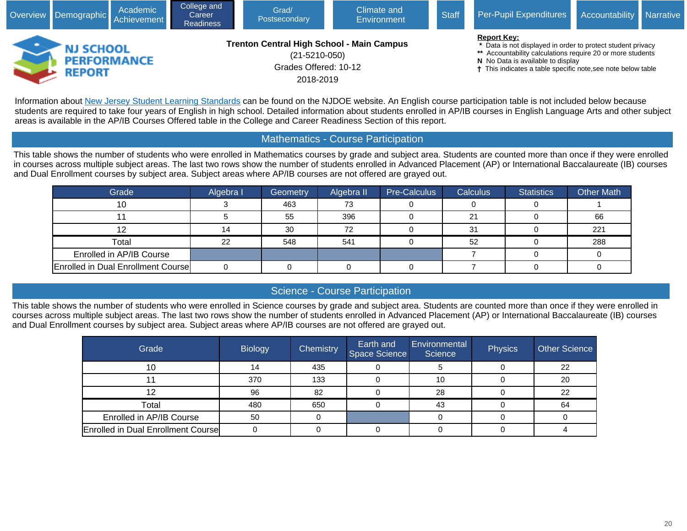

Information about [New Jersey Student Learning Standards](javascript:void(window.open() can be found on the NJDOE website. An English course participation table is not included below because students are required to take four years of English in high school. Detailed information about students enrolled in AP/IB courses in English Language Arts and other subject areas is available in the AP/IB Courses Offered table in the College and Career Readiness Section of this report.

# Mathematics - Course Participation

This table shows the number of students who were enrolled in Mathematics courses by grade and subject area. Students are counted more than once if they were enrolled in courses across multiple subject areas. The last two rows show the number of students enrolled in Advanced Placement (AP) or International Baccalaureate (IB) courses and Dual Enrollment courses by subject area. Subject areas where AP/IB courses are not offered are grayed out.

| Grade                              | Algebra I | Geometry | Algebra II | Pre-Calculus | <b>Calculus</b> | <b>Statistics</b> | <b>Other Math</b> |
|------------------------------------|-----------|----------|------------|--------------|-----------------|-------------------|-------------------|
| 10                                 |           | 463      | 73         |              |                 |                   |                   |
|                                    |           | 55       | 396        |              | 21              |                   | 66                |
|                                    | 14        | 30       | 72         |              | 31              |                   | 221               |
| Total                              | 22        | 548      | 541        |              | 52              |                   | 288               |
| Enrolled in AP/IB Course           |           |          |            |              |                 |                   |                   |
| Enrolled in Dual Enrollment Course |           |          |            |              |                 |                   |                   |

### Science - Course Participation

This table shows the number of students who were enrolled in Science courses by grade and subject area. Students are counted more than once if they were enrolled in courses across multiple subject areas. The last two rows show the number of students enrolled in Advanced Placement (AP) or International Baccalaureate (IB) courses and Dual Enrollment courses by subject area. Subject areas where AP/IB courses are not offered are grayed out.

| Grade                                     | <b>Biology</b> | Chemistry | Earth and<br>Space Science | <b>Environmental</b><br>Science | Physics | <b>Other Science</b> |
|-------------------------------------------|----------------|-----------|----------------------------|---------------------------------|---------|----------------------|
| 10                                        |                | 435       |                            |                                 |         | 22                   |
|                                           | 370            | 133       |                            | 10                              |         | 20                   |
|                                           | 96             | 82        |                            | 28                              |         | 22                   |
| Total                                     | 480            | 650       |                            | 43                              |         | 64                   |
| Enrolled in AP/IB Course                  | 50             |           |                            |                                 |         |                      |
| <b>Enrolled in Dual Enrollment Course</b> |                |           |                            |                                 |         |                      |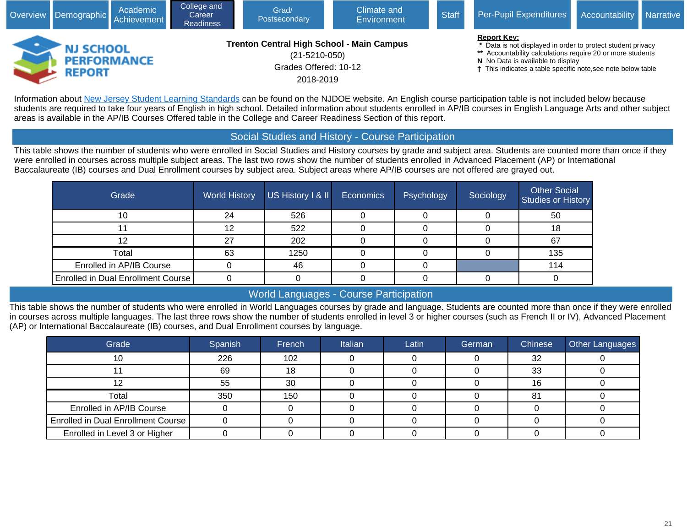

Information about [New Jersey Student Learning Standards](javascript:void(window.open() can be found on the NJDOE website. An English course participation table is not included below because students are required to take four years of English in high school. Detailed information about students enrolled in AP/IB courses in English Language Arts and other subject areas is available in the AP/IB Courses Offered table in the College and Career Readiness Section of this report.

### Social Studies and History - Course Participation

This table shows the number of students who were enrolled in Social Studies and History courses by grade and subject area. Students are counted more than once if they were enrolled in courses across multiple subject areas. The last two rows show the number of students enrolled in Advanced Placement (AP) or International Baccalaureate (IB) courses and Dual Enrollment courses by subject area. Subject areas where AP/IB courses are not offered are grayed out.

| Grade                              | <b>World History</b> | US History I & II | <b>Economics</b> | Psychology | Sociology | <b>Other Social</b><br>Studies or History |
|------------------------------------|----------------------|-------------------|------------------|------------|-----------|-------------------------------------------|
| 10                                 | 24                   | 526               |                  |            |           | 50                                        |
|                                    | 12                   | 522               |                  |            |           | 18                                        |
|                                    | 27                   | 202               |                  |            |           | 67                                        |
| Total                              | 63                   | 1250              |                  |            |           | 135                                       |
| Enrolled in AP/IB Course           |                      | 46                |                  |            |           | 114                                       |
| Enrolled in Dual Enrollment Course |                      |                   |                  |            |           |                                           |

# World Languages - Course Participation

This table shows the number of students who were enrolled in World Languages courses by grade and language. Students are counted more than once if they were enrolled in courses across multiple languages. The last three rows show the number of students enrolled in level 3 or higher courses (such as French II or IV), Advanced Placement (AP) or International Baccalaureate (IB) courses, and Dual Enrollment courses by language.

| Grade                              | Spanish | French | Italian | Latin | German | Chinese | <b>Other Languages</b> |
|------------------------------------|---------|--------|---------|-------|--------|---------|------------------------|
|                                    | 226     | 102    |         |       |        | 32      |                        |
|                                    | 69      | 18     |         |       |        | 33      |                        |
|                                    | 55      | 30     |         |       |        | 16      |                        |
| Total                              | 350     | 150    |         |       |        | 81      |                        |
| Enrolled in AP/IB Course           |         |        |         |       |        |         |                        |
| Enrolled in Dual Enrollment Course |         |        |         |       |        |         |                        |
| Enrolled in Level 3 or Higher      |         |        |         |       |        |         |                        |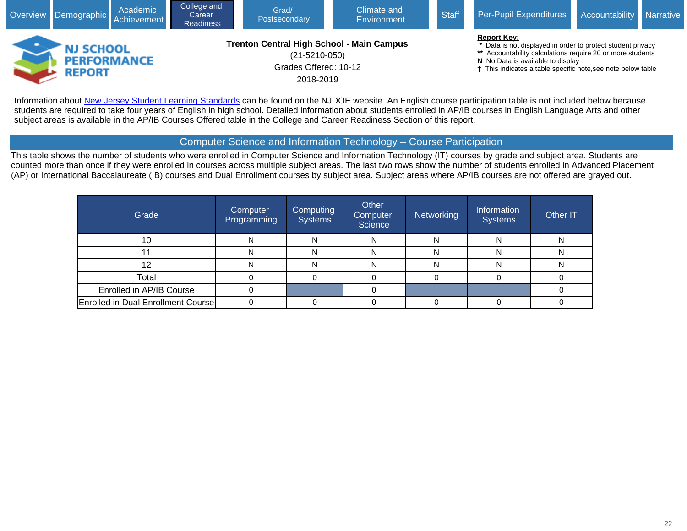

Information about [New Jersey Student Learning Standards](javascript:void(window.open() can be found on the NJDOE website. An English course participation table is not included below because students are required to take four years of English in high school. Detailed information about students enrolled in AP/IB courses in English Language Arts and other subject areas is available in the AP/IB Courses Offered table in the College and Career Readiness Section of this report.

### Computer Science and Information Technology – Course Participation

This table shows the number of students who were enrolled in Computer Science and Information Technology (IT) courses by grade and subject area. Students are counted more than once if they were enrolled in courses across multiple subject areas. The last two rows show the number of students enrolled in Advanced Placement (AP) or International Baccalaureate (IB) courses and Dual Enrollment courses by subject area. Subject areas where AP/IB courses are not offered are grayed out.

| Grade                                     | Computer<br><b>Programming</b> | <b>Computing</b><br><b>Systems</b> | Other<br><b>Computer</b><br>Science | Networking | Information<br><b>Systems</b> | Other IT |
|-------------------------------------------|--------------------------------|------------------------------------|-------------------------------------|------------|-------------------------------|----------|
| 10                                        | N                              | N                                  | N                                   | N          | N                             |          |
|                                           | N                              |                                    | N                                   | N          | N                             |          |
|                                           |                                |                                    |                                     |            |                               |          |
| Total                                     |                                |                                    |                                     |            |                               |          |
| Enrolled in AP/IB Course                  |                                |                                    |                                     |            |                               |          |
| <b>Enrolled in Dual Enrollment Course</b> |                                |                                    |                                     |            |                               |          |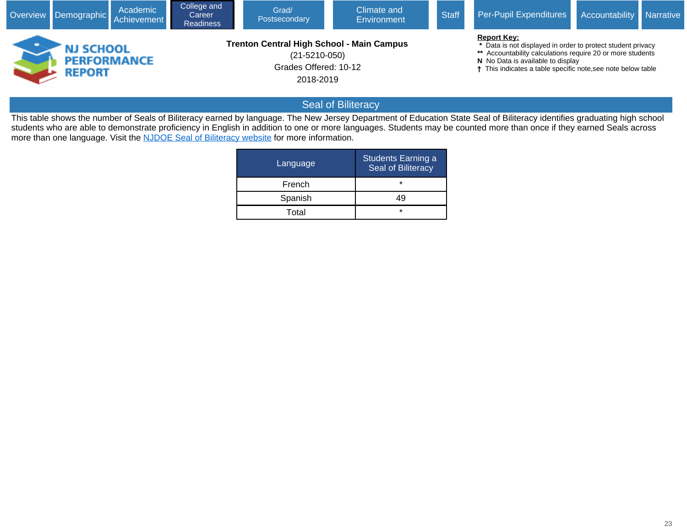|                                                         | Academic<br>Overview Demographic Achievement | College and<br>Career<br><b>Readiness</b> | Grad/<br>Postsecondary                                                                                        | Climate and<br><b>Environment</b> | <b>Staff</b> | Per-Pupil Expenditures                                                                                                                                                                                                                                          | Accountability | <b>Narrative</b> |
|---------------------------------------------------------|----------------------------------------------|-------------------------------------------|---------------------------------------------------------------------------------------------------------------|-----------------------------------|--------------|-----------------------------------------------------------------------------------------------------------------------------------------------------------------------------------------------------------------------------------------------------------------|----------------|------------------|
| <b>NJ SCHOOL</b><br><b>PERFORMANCE</b><br><b>REPORT</b> |                                              |                                           | <b>Trenton Central High School - Main Campus</b><br>$(21 - 5210 - 050)$<br>Grades Offered: 10-12<br>2018-2019 |                                   |              | <b>Report Key:</b><br>* Data is not displayed in order to protect student privacy<br>** Accountability calculations require 20 or more students<br>N No Data is available to display<br><sup>†</sup> This indicates a table specific note, see note below table |                |                  |

# Seal of Biliteracy

This table shows the number of Seals of Biliteracy earned by language. The New Jersey Department of Education State Seal of Biliteracy identifies graduating high school students who are able to demonstrate proficiency in English in addition to one or more languages. Students may be counted more than once if they earned Seals across more than one language. Visit the [NJDOE Seal of Biliteracy website](javascript:void(window.open() for more information.

| Language | Students Earning a<br>Seal of Biliteracy |
|----------|------------------------------------------|
| French   | $\star$                                  |
| Spanish  | 49                                       |
| Total    | $\star$                                  |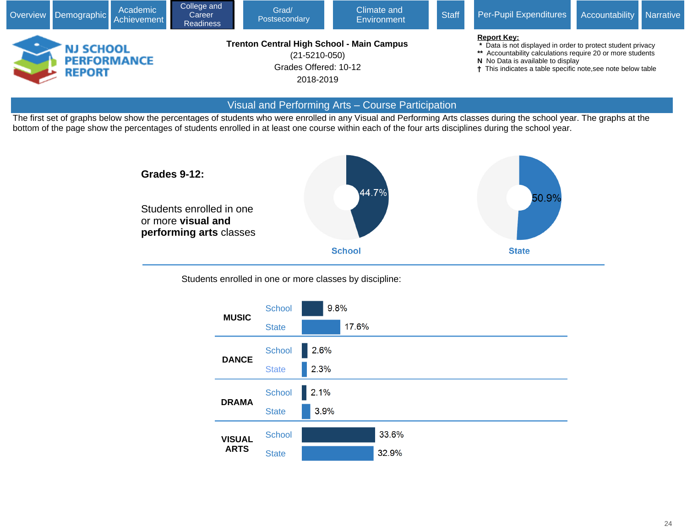

#### Visual and Performing Arts – Course Participation

The first set of graphs below show the percentages of students who were enrolled in any Visual and Performing Arts classes during the school year. The graphs at the bottom of the page show the percentages of students enrolled in at least one course within each of the four arts disciplines during the school year.



Students enrolled in one or more classes by discipline:

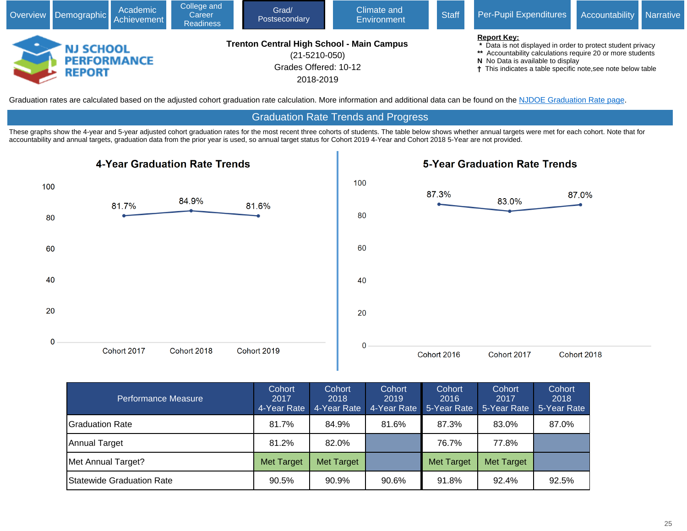

Graduation rates are calculated based on the adjusted cohort graduation rate calculation. More information and additional data can be found on the [NJDOE Graduation Rate page.](javascript:void(window.open()

#### Graduation Rate Trends and Progress

These graphs show the 4-year and 5-year adjusted cohort graduation rates for the most recent three cohorts of students. The table below shows whether annual targets were met for each cohort. Note that for accountability and annual targets, graduation data from the prior year is used, so annual target status for Cohort 2019 4-Year and Cohort 2018 5-Year are not provided.



| Performance Measure              | Cohort<br>2017<br>4-Year Rate | Cohort<br>2018<br>4-Year Rate | Cohort<br>2019<br>4-Year Rate <sup>1</sup> | Cohort<br>2016<br>5-Year Rate | Cohort<br>2017<br>5-Year Rate | Cohort<br>2018<br>5-Year Rate |
|----------------------------------|-------------------------------|-------------------------------|--------------------------------------------|-------------------------------|-------------------------------|-------------------------------|
| IGraduation Rate                 | 81.7%                         | 84.9%                         | 81.6%                                      | 87.3%                         | 83.0%                         | 87.0%                         |
| Annual Target                    | 81.2%                         | 82.0%                         |                                            | 76.7%                         | 77.8%                         |                               |
| Met Annual Target?               | <b>Met Target</b>             | <b>Met Target</b>             |                                            | <b>Met Target</b>             | Met Target                    |                               |
| <b>Statewide Graduation Rate</b> | 90.5%                         | 90.9%                         | 90.6%                                      | 91.8%                         | 92.4%                         | 92.5%                         |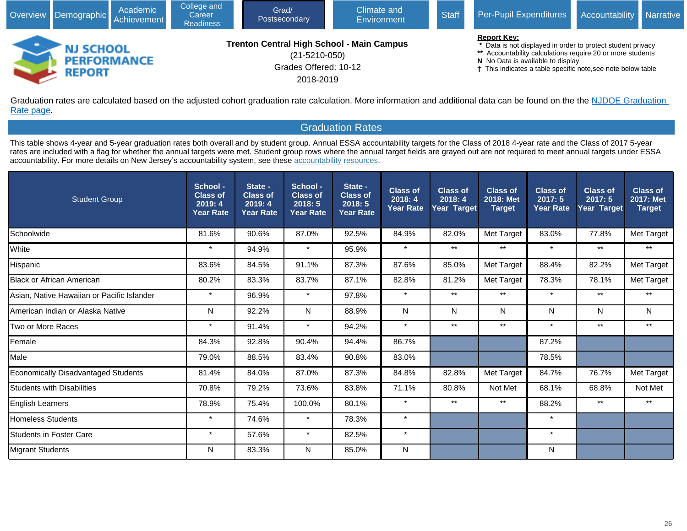|                                                         | Academic<br>Overview Demographic Achievement | College and<br>Career<br><b>Readiness</b> | Grad/<br>Postsecondary                                                                                 | Climate and<br>Environment | <b>Staff</b> | Per-Pupil Expenditures                                                                                                                                                                                                                                          | Accountability Narrative |  |
|---------------------------------------------------------|----------------------------------------------|-------------------------------------------|--------------------------------------------------------------------------------------------------------|----------------------------|--------------|-----------------------------------------------------------------------------------------------------------------------------------------------------------------------------------------------------------------------------------------------------------------|--------------------------|--|
| <b>NJ SCHOOL</b><br><b>PERFORMANCE</b><br><b>REPORT</b> |                                              |                                           | Trenton Central High School - Main Campus<br>$(21 - 5210 - 050)$<br>Grades Offered: 10-12<br>2018-2019 |                            |              | <b>Report Key:</b><br>* Data is not displayed in order to protect student privacy<br>** Accountability calculations require 20 or more students<br>N No Data is available to display<br><sup>†</sup> This indicates a table specific note, see note below table |                          |  |

Graduation rates are calculated based on the adjusted cohort graduation rate calculation. More information and additional data can be found on the the NJDOE Graduation [Rate page](javascript:void(window.open().

### Graduation Rates

This table shows 4-year and 5-year graduation rates both overall and by student group. Annual ESSA accountability targets for the Class of 2018 4-year rate and the Class of 2017 5-year rates are included with a flag for whether the annual targets were met. Student group rows where the annual target fields are grayed out are not required to meet annual targets under ESSA accountability. For more details on New Jersey's accountability system, see these [accountability resources.](javascript:void(window.open()

| <b>Student Group</b>                       | School -<br><b>Class of</b><br>2019:4<br><b>Year Rate</b> | State -<br><b>Class of</b><br>2019:4<br><b>Year Rate</b> | School -<br><b>Class of</b><br>2018:5<br><b>Year Rate</b> | State -<br><b>Class of</b><br>2018:5<br><b>Year Rate</b> | <b>Class of</b><br>2018:4<br><b>Year Rate</b> | <b>Class of</b><br>2018:4<br>Year Target | <b>Class of</b><br>2018: Met<br><b>Target</b> | <b>Class of</b><br>2017:5<br><b>Year Rate</b> | <b>Class of</b><br>2017:5<br><b>Year Target</b> | <b>Class of</b><br>2017: Met<br><b>Target</b> |
|--------------------------------------------|-----------------------------------------------------------|----------------------------------------------------------|-----------------------------------------------------------|----------------------------------------------------------|-----------------------------------------------|------------------------------------------|-----------------------------------------------|-----------------------------------------------|-------------------------------------------------|-----------------------------------------------|
| Schoolwide                                 | 81.6%                                                     | 90.6%                                                    | 87.0%                                                     | 92.5%                                                    | 84.9%                                         | 82.0%                                    | Met Target                                    | 83.0%                                         | 77.8%                                           | Met Target                                    |
| White                                      | $\star$                                                   | 94.9%                                                    | $\star$                                                   | 95.9%                                                    | $\star$                                       | $***$                                    | $***$                                         | $\star$                                       | $***$                                           | $***$                                         |
| Hispanic                                   | 83.6%                                                     | 84.5%                                                    | 91.1%                                                     | 87.3%                                                    | 87.6%                                         | 85.0%                                    | Met Target                                    | 88.4%                                         | 82.2%                                           | Met Target                                    |
| <b>Black or African American</b>           | 80.2%                                                     | 83.3%                                                    | 83.7%                                                     | 87.1%                                                    | 82.8%                                         | 81.2%                                    | Met Target                                    | 78.3%                                         | 78.1%                                           | Met Target                                    |
| Asian, Native Hawaiian or Pacific Islander | $\star$                                                   | 96.9%                                                    | $\ast$                                                    | 97.8%                                                    | $\star$                                       | $***$                                    | $***$                                         | $\star$                                       | $***$                                           | $***$                                         |
| American Indian or Alaska Native           | N                                                         | 92.2%                                                    | N                                                         | 88.9%                                                    | N                                             | N                                        | N                                             | N                                             | N                                               | N                                             |
| Two or More Races                          | $\star$                                                   | 91.4%                                                    | $\star$                                                   | 94.2%                                                    | $\star$                                       | $***$                                    | $***$                                         | $\star$                                       | $***$                                           | $^{\star\star}$                               |
| <b>Female</b>                              | 84.3%                                                     | 92.8%                                                    | 90.4%                                                     | 94.4%                                                    | 86.7%                                         |                                          |                                               | 87.2%                                         |                                                 |                                               |
| Male                                       | 79.0%                                                     | 88.5%                                                    | 83.4%                                                     | 90.8%                                                    | 83.0%                                         |                                          |                                               | 78.5%                                         |                                                 |                                               |
| <b>Economically Disadvantaged Students</b> | 81.4%                                                     | 84.0%                                                    | 87.0%                                                     | 87.3%                                                    | 84.8%                                         | 82.8%                                    | Met Target                                    | 84.7%                                         | 76.7%                                           | Met Target                                    |
| <b>Students with Disabilities</b>          | 70.8%                                                     | 79.2%                                                    | 73.6%                                                     | 83.8%                                                    | 71.1%                                         | 80.8%                                    | Not Met                                       | 68.1%                                         | 68.8%                                           | Not Met                                       |
| English Learners                           | 78.9%                                                     | 75.4%                                                    | 100.0%                                                    | 80.1%                                                    | $\star$                                       | $***$                                    | $***$                                         | 88.2%                                         | $***$                                           | $***$                                         |
| Homeless Students                          | $\star$                                                   | 74.6%                                                    | $\star$                                                   | 78.3%                                                    | $\star$                                       |                                          |                                               | $\star$                                       |                                                 |                                               |
| <b>Students in Foster Care</b>             | $\star$                                                   | 57.6%                                                    | $\star$                                                   | 82.5%                                                    | $\star$                                       |                                          |                                               | $\star$                                       |                                                 |                                               |
| Migrant Students                           | N                                                         | 83.3%                                                    | N                                                         | 85.0%                                                    | N                                             |                                          |                                               | N                                             |                                                 |                                               |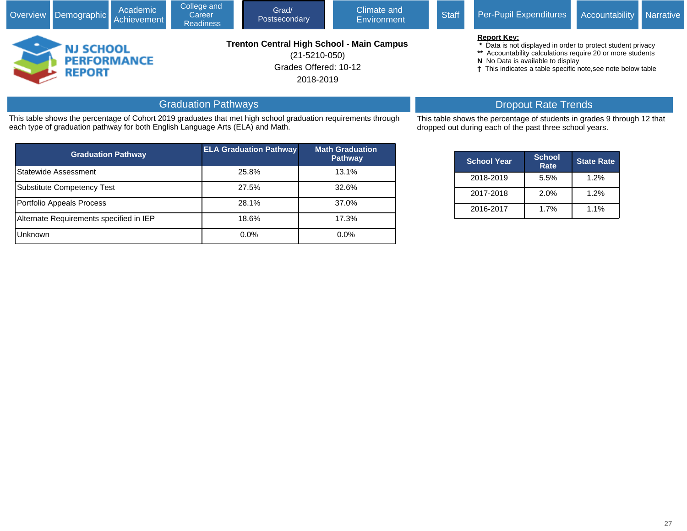| Overview Demographic Achievement |                                                         | Academic | College and<br>Career<br><b>Readiness</b> | Grad/<br>Postsecondary                                                                                        | <b>Climate and</b><br>Environment | <b>Staff</b> | Per-Pupil Expenditures                                                                                                                                                                                                                               | Accountability Narrative |  |
|----------------------------------|---------------------------------------------------------|----------|-------------------------------------------|---------------------------------------------------------------------------------------------------------------|-----------------------------------|--------------|------------------------------------------------------------------------------------------------------------------------------------------------------------------------------------------------------------------------------------------------------|--------------------------|--|
|                                  | <b>NJ SCHOOL</b><br><b>PERFORMANCE</b><br><b>REPORT</b> |          |                                           | <b>Trenton Central High School - Main Campus</b><br>$(21 - 5210 - 050)$<br>Grades Offered: 10-12<br>2018-2019 |                                   |              | <b>Report Key:</b><br>* Data is not displayed in order to protect student privacy<br>** Accountability calculations require 20 or more students<br>N No Data is available to display<br>† This indicates a table specific note, see note below table |                          |  |
|                                  |                                                         |          | ______                                    |                                                                                                               |                                   |              |                                                                                                                                                                                                                                                      |                          |  |

# Graduation Pathways

This table shows the percentage of Cohort 2019 graduates that met high school graduation requirements through each type of graduation pathway for both English Language Arts (ELA) and Math.

| <b>Graduation Pathway</b>               | <b>ELA Graduation Pathway</b> | <b>Math Graduation</b><br><b>Pathway</b> |
|-----------------------------------------|-------------------------------|------------------------------------------|
| Statewide Assessment                    | 25.8%                         | 13.1%                                    |
| Substitute Competency Test              | 27.5%                         | 32.6%                                    |
| Portfolio Appeals Process               | 28.1%                         | 37.0%                                    |
| Alternate Requirements specified in IEP | 18.6%                         | 17.3%                                    |
| <b>Unknown</b>                          | 0.0%                          | $0.0\%$                                  |

# Dropout Rate Trends

This table shows the percentage of students in grades 9 through 12 that dropped out during each of the past three school years.

| <b>School Year</b> | <b>School</b><br>Rate | <b>State Rate</b> |
|--------------------|-----------------------|-------------------|
| 2018-2019          | 5.5%                  | 1.2%              |
| 2017-2018          | 2.0%                  | 1.2%              |
| 2016-2017          | 1.7%                  | $1.1\%$           |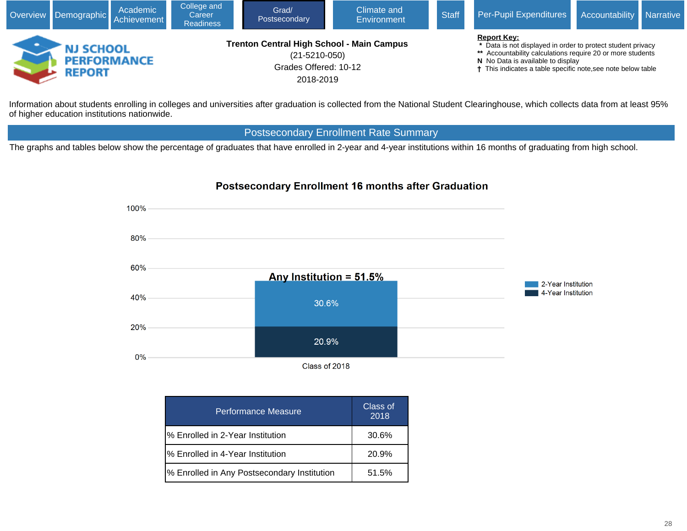| Overview Demographic Achievement                        | Academic | College and<br>Career<br><b>Readiness</b> | Grad/<br>Postsecondary                                                                                        | Climate and<br>Environment | <b>Staff</b> | Per-Pupil Expenditures                                                                                                                                                                                                                               | Accountability Narrative |  |
|---------------------------------------------------------|----------|-------------------------------------------|---------------------------------------------------------------------------------------------------------------|----------------------------|--------------|------------------------------------------------------------------------------------------------------------------------------------------------------------------------------------------------------------------------------------------------------|--------------------------|--|
| <b>NJ SCHOOL</b><br><b>PERFORMANCE</b><br><b>REPORT</b> |          |                                           | <b>Trenton Central High School - Main Campus</b><br>$(21 - 5210 - 050)$<br>Grades Offered: 10-12<br>2018-2019 |                            |              | <b>Report Key:</b><br>* Data is not displayed in order to protect student privacy<br>** Accountability calculations require 20 or more students<br>N No Data is available to display<br>† This indicates a table specific note, see note below table |                          |  |

Information about students enrolling in colleges and universities after graduation is collected from the National Student Clearinghouse, which collects data from at least 95% of higher education institutions nationwide.

# Postsecondary Enrollment Rate Summary

The graphs and tables below show the percentage of graduates that have enrolled in 2-year and 4-year institutions within 16 months of graduating from high school.



| <b>Performance Measure</b>                  | Class of<br>2018 |
|---------------------------------------------|------------------|
| % Enrolled in 2-Year Institution            | 30.6%            |
| % Enrolled in 4-Year Institution            | 20.9%            |
| % Enrolled in Any Postsecondary Institution | 51.5%            |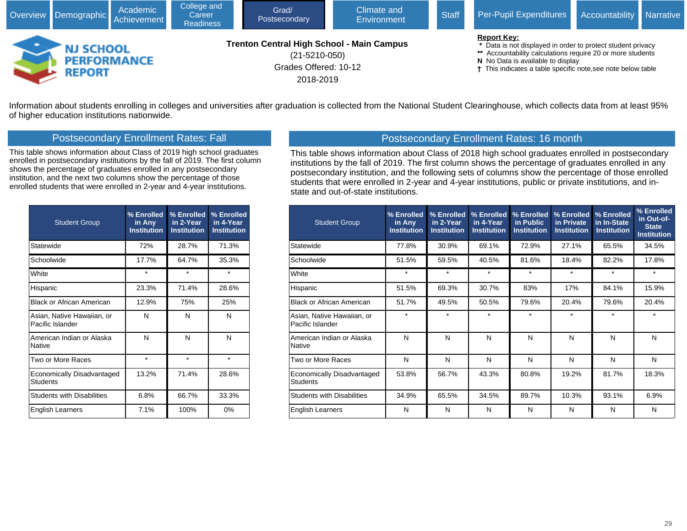

Information about students enrolling in colleges and universities after graduation is collected from the National Student Clearinghouse, which collects data from at least 95% of higher education institutions nationwide.

### Postsecondary Enrollment Rates: Fall

This table shows information about Class of 2019 high school graduates enrolled in postsecondary institutions by the fall of 2019. The first column shows the percentage of graduates enrolled in any postsecondary institution, and the next two columns show the percentage of those enrolled students that were enrolled in 2-year and 4-year institutions.

| <b>Student Group</b>                           | % Enrolled<br>in Any<br><b>Institution</b> | % Enrolled<br>in 2-Year<br><b>Institution</b> | % Enrolled<br>in 4-Year<br><b>Institution</b> |
|------------------------------------------------|--------------------------------------------|-----------------------------------------------|-----------------------------------------------|
| Statewide                                      | 72%                                        | 28.7%                                         | 71.3%                                         |
| Schoolwide                                     | 17.7%                                      | 64.7%                                         | 35.3%                                         |
| White                                          | $\star$                                    | $\star$                                       | ÷                                             |
| Hispanic                                       | 23.3%                                      | 71.4%                                         | 28.6%                                         |
| Black or African American                      | 12.9%                                      | 75%                                           | 25%                                           |
| Asian, Native Hawaiian, or<br>Pacific Islander | N                                          | N                                             | N                                             |
| American Indian or Alaska<br><b>Native</b>     | N                                          | N                                             | N                                             |
| Two or More Races                              | $\star$                                    | $\star$                                       | ÷                                             |
| Economically Disadvantaged<br><b>Students</b>  | 13.2%                                      | 71.4%                                         | 28.6%                                         |
| <b>Students with Disabilities</b>              | 6.8%                                       | 66.7%                                         | 33.3%                                         |
| <b>English Learners</b>                        | 7.1%                                       | 100%                                          | 0%                                            |

# Postsecondary Enrollment Rates: 16 month

This table shows information about Class of 2018 high school graduates enrolled in postsecondary institutions by the fall of 2019. The first column shows the percentage of graduates enrolled in any postsecondary institution, and the following sets of columns show the percentage of those enrolled students that were enrolled in 2-year and 4-year institutions, public or private institutions, and instate and out-of-state institutions.

| <b>Student Group</b>                           | % Enrolled<br>in Any<br><b>Institution</b> | % Enrolled<br><u>in 2-Year</u><br><b>Institution</b> | % Enrolled<br>in 4-Year<br><b>Institution</b> | % Enrolled<br>in Public<br><b>Institution</b> | % Enrolled<br>in Private<br><b>Institution</b> | % Enrolled<br>in In-State<br><b>Institution</b> | % Enrolled<br>in Out-of-<br><b>State</b><br><b>Institution</b> |
|------------------------------------------------|--------------------------------------------|------------------------------------------------------|-----------------------------------------------|-----------------------------------------------|------------------------------------------------|-------------------------------------------------|----------------------------------------------------------------|
| Statewide                                      | 77.8%                                      | 30.9%                                                | 69.1%                                         | 72.9%                                         | 27.1%                                          | 65.5%                                           | 34.5%                                                          |
| Schoolwide                                     | 51.5%                                      | 59.5%                                                | 40.5%                                         | 81.6%                                         | 18.4%                                          | 82.2%                                           | 17.8%                                                          |
| White                                          | $^\star$                                   | $^\star$                                             | $\star$                                       | $\star$                                       | $\star$                                        | $\star$                                         | $\star$                                                        |
| Hispanic                                       | 51.5%                                      | 69.3%                                                | 30.7%                                         | 83%                                           | 17%                                            | 84.1%                                           | 15.9%                                                          |
| <b>Black or African American</b>               | 51.7%                                      | 49.5%                                                | 50.5%                                         | 79.6%                                         | 20.4%                                          | 79.6%                                           | 20.4%                                                          |
| Asian, Native Hawaiian, or<br>Pacific Islander | $\star$                                    | $\star$                                              | $\star$                                       | $\star$                                       | $\star$                                        | $\star$                                         | $\star$                                                        |
| American Indian or Alaska<br>Native            | N                                          | N                                                    | N                                             | N                                             | N                                              | N                                               | N                                                              |
| Two or More Races                              | N                                          | N                                                    | N                                             | N                                             | N                                              | N                                               | N                                                              |
| Economically Disadvantaged<br><b>Students</b>  | 53.8%                                      | 56.7%                                                | 43.3%                                         | 80.8%                                         | 19.2%                                          | 81.7%                                           | 18.3%                                                          |
| <b>Students with Disabilities</b>              | 34.9%                                      | 65.5%                                                | 34.5%                                         | 89.7%                                         | 10.3%                                          | 93.1%                                           | 6.9%                                                           |
| English Learners                               | N                                          | N                                                    | N                                             | N                                             | N                                              | N                                               | N                                                              |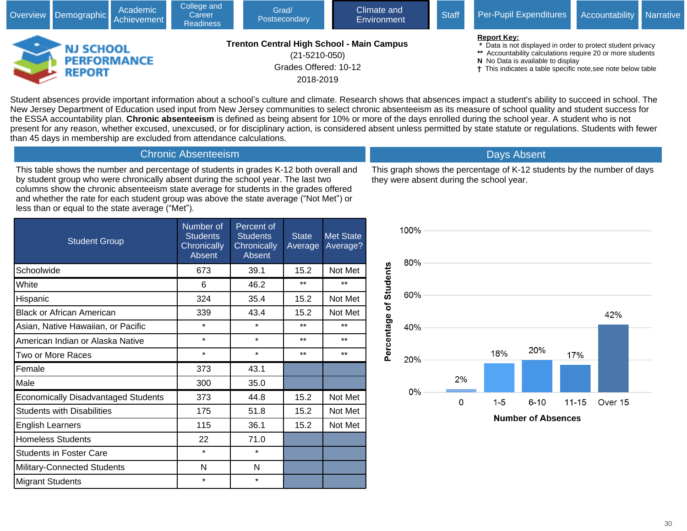|                                   | Academic<br>Overview Demographic Achievement | College and<br>Career<br><b>Readiness</b> | Grad/<br>Postsecondary                                                                                        | Climate and<br>Environment | <b>Staff</b> | Per-Pupil Expenditures                                                                                                                                                                                                                               | Accountability Narrative |  |
|-----------------------------------|----------------------------------------------|-------------------------------------------|---------------------------------------------------------------------------------------------------------------|----------------------------|--------------|------------------------------------------------------------------------------------------------------------------------------------------------------------------------------------------------------------------------------------------------------|--------------------------|--|
| <b>NJ SCHOOL</b><br><b>REPORT</b> | <b>PERFORMANCE</b>                           |                                           | <b>Trenton Central High School - Main Campus</b><br>$(21 - 5210 - 050)$<br>Grades Offered: 10-12<br>2018-2019 |                            |              | <b>Report Key:</b><br>* Data is not displayed in order to protect student privacy<br>** Accountability calculations require 20 or more students<br>N No Data is available to display<br>† This indicates a table specific note, see note below table |                          |  |

Student absences provide important information about a school's culture and climate. Research shows that absences impact a student's ability to succeed in school. The New Jersey Department of Education used input from New Jersey communities to select chronic absenteeism as its measure of school quality and student success for the ESSA accountability plan. **Chronic absenteeism** is defined as being absent for 10% or more of the days enrolled during the school year. A student who is not present for any reason, whether excused, unexcused, or for disciplinary action, is considered absent unless permitted by state statute or regulations. Students with fewer than 45 days in membership are excluded from attendance calculations.

This table shows the number and percentage of students in grades K-12 both overall and by student group who were chronically absent during the school year. The last two columns show the chronic absenteeism state average for students in the grades offered and whether the rate for each student group was above the state average ("Not Met") or less than or equal to the state average ("Met").

Chronic Absenteeism

| <b>Student Group</b>                       | Number of<br><b>Students</b><br>Chronically<br><b>Absent</b> | Percent of<br><b>Students</b><br>Chronically<br>Absent | <b>State</b><br>Average | <b>Met State</b><br>Average? |
|--------------------------------------------|--------------------------------------------------------------|--------------------------------------------------------|-------------------------|------------------------------|
| Schoolwide                                 | 673                                                          | 39.1                                                   | 15.2                    | Not Met                      |
| White                                      | 6                                                            | 46.2                                                   | $**$                    | **                           |
| Hispanic                                   | 324                                                          | 35.4                                                   | 15.2                    | Not Met                      |
| <b>Black or African American</b>           | 339                                                          | 43.4                                                   | 15.2                    | Not Met                      |
| Asian, Native Hawaiian, or Pacific         | $\star$                                                      | $\star$                                                | $***$                   | $***$                        |
| American Indian or Alaska Native           | *                                                            | $\star$                                                | $**$                    | $***$                        |
| Two or More Races                          | $\star$                                                      | $\star$                                                | $**$                    | $***$                        |
| Female                                     | 373                                                          | 43.1                                                   |                         |                              |
| Male                                       | 300                                                          | 35.0                                                   |                         |                              |
| <b>Economically Disadvantaged Students</b> | 373                                                          | 44.8                                                   | 15.2                    | Not Met                      |
| <b>Students with Disabilities</b>          | 175                                                          | 51.8                                                   | 15.2                    | Not Met                      |
| <b>English Learners</b>                    | 115                                                          | 36.1                                                   | 15.2                    | Not Met                      |
| <b>Homeless Students</b>                   | 22                                                           | 71.0                                                   |                         |                              |
| <b>Students in Foster Care</b>             | $\star$                                                      | $\star$                                                |                         |                              |
| Military-Connected Students                | N                                                            | N                                                      |                         |                              |
| <b>Migrant Students</b>                    | $\star$                                                      | $\star$                                                |                         |                              |

This graph shows the percentage of K-12 students by the number of days they were absent during the school year.

Days Absent

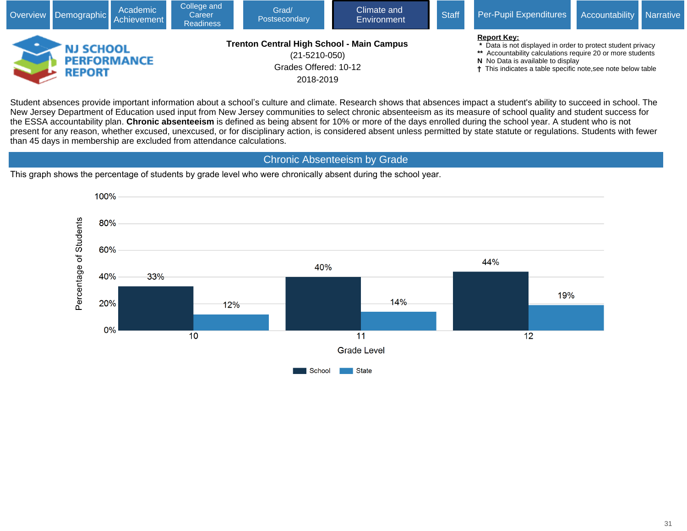

Student absences provide important information about a school's culture and climate. Research shows that absences impact a student's ability to succeed in school. The New Jersey Department of Education used input from New Jersey communities to select chronic absenteeism as its measure of school quality and student success for the ESSA accountability plan. **Chronic absenteeism** is defined as being absent for 10% or more of the days enrolled during the school year. A student who is not present for any reason, whether excused, unexcused, or for disciplinary action, is considered absent unless permitted by state statute or regulations. Students with fewer than 45 days in membership are excluded from attendance calculations.

Chronic Absenteeism by Grade

This graph shows the percentage of students by grade level who were chronically absent during the school year.

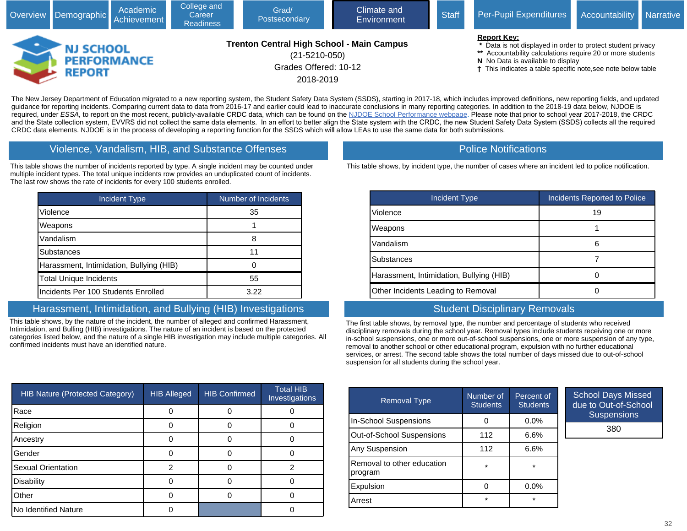|                                                  | Academic<br>Overview Demographic Achievement | College and<br>Career<br><b>Readiness</b> | Grad/<br>Postsecondary                                                                                        | Climate and<br>Environment | <b>Staff</b> | Per-Pupil Expenditures                                                                                                                                                                                                                               | Accountability Narrative |  |
|--------------------------------------------------|----------------------------------------------|-------------------------------------------|---------------------------------------------------------------------------------------------------------------|----------------------------|--------------|------------------------------------------------------------------------------------------------------------------------------------------------------------------------------------------------------------------------------------------------------|--------------------------|--|
| <b>NJ SCHOOL</b><br><b>PERFORMANCE</b><br>REPORT |                                              |                                           | <b>Trenton Central High School - Main Campus</b><br>$(21 - 5210 - 050)$<br>Grades Offered: 10-12<br>2018-2019 |                            |              | <b>Report Key:</b><br>* Data is not displayed in order to protect student privacy<br>** Accountability calculations require 20 or more students<br>N No Data is available to display<br>† This indicates a table specific note, see note below table |                          |  |

The New Jersey Department of Education migrated to a new reporting system, the Student Safety Data System (SSDS), starting in 2017-18, which includes improved definitions, new reporting fields, and updated guidance for reporting incidents. Comparing current data to data from 2016-17 and earlier could lead to inaccurate conclusions in many reporting categories. In addition to the 2018-19 data below, NJDOE is required, under ESSA, to report on the most recent, publicly-available CRDC data, which can be found on the [NJDOE School Performance webpage.](javascript:void(window.open() Please note that prior to school year 2017-2018, the CRDC and the State collection system, EVVRS did not collect the same data elements. In an effort to better align the State system with the CRDC, the new Student Safety Data System (SSDS) collects all the required CRDC data elements. NJDOE is in the process of developing a reporting function for the SSDS which will allow LEAs to use the same data for both submissions.

#### Violence, Vandalism, HIB, and Substance Offenses

This table shows the number of incidents reported by type. A single incident may be counted under multiple incident types. The total unique incidents row provides an unduplicated count of incidents. The last row shows the rate of incidents for every 100 students enrolled.

| <b>Incident Type</b>                     | Number of Incidents |
|------------------------------------------|---------------------|
| Violence                                 | 35                  |
| Weapons                                  |                     |
| Vandalism                                | 8                   |
| <b>Substances</b>                        | 11                  |
| Harassment, Intimidation, Bullying (HIB) |                     |
| <b>Total Unique Incidents</b>            | 55                  |
| Incidents Per 100 Students Enrolled      | 3.22                |

# Harassment, Intimidation, and Bullying (HIB) Investigations

This table shows, by the nature of the incident, the number of alleged and confirmed Harassment, Intimidation, and Bulling (HIB) investigations. The nature of an incident is based on the protected categories listed below, and the nature of a single HIB investigation may include multiple categories. All confirmed incidents must have an identified nature.

| <b>HIB Nature (Protected Category)</b> | <b>HIB Alleged</b> | <b>HIB Confirmed</b> | <b>Total HIB</b><br>Investigations |
|----------------------------------------|--------------------|----------------------|------------------------------------|
| Race                                   |                    |                      |                                    |
| Religion                               |                    |                      |                                    |
| Ancestry                               |                    |                      |                                    |
| Gender                                 |                    |                      |                                    |
| <b>Sexual Orientation</b>              | 2                  |                      |                                    |
| Disability                             |                    |                      |                                    |
| Other                                  |                    |                      |                                    |
| No Identified Nature                   |                    |                      |                                    |

### Police Notifications

This table shows, by incident type, the number of cases where an incident led to police notification.

| Incident Type                            | Incidents Reported to Police |
|------------------------------------------|------------------------------|
| Violence                                 | 19                           |
| Weapons                                  |                              |
| Vandalism                                |                              |
| Substances                               |                              |
| Harassment, Intimidation, Bullying (HIB) |                              |
| Other Incidents Leading to Removal       |                              |

### Student Disciplinary Removals

The first table shows, by removal type, the number and percentage of students who received disciplinary removals during the school year. Removal types include students receiving one or more in-school suspensions, one or more out-of-school suspensions, one or more suspension of any type, removal to another school or other educational program, expulsion with no further educational services, or arrest. The second table shows the total number of days missed due to out-of-school suspension for all students during the school year.

| <b>Removal Type</b>                   | Number of<br><b>Students</b> | Percent of<br><b>Students</b> | Sc<br>du |
|---------------------------------------|------------------------------|-------------------------------|----------|
| <b>In-School Suspensions</b>          |                              | $0.0\%$                       |          |
| Out-of-School Suspensions             | 112                          | $6.6\%$                       |          |
| Any Suspension                        | 112                          | 6.6%                          |          |
| Removal to other education<br>program | *                            | $\star$                       |          |
| Expulsion                             |                              | $0.0\%$                       |          |
| Arrest                                | $\star$                      | $\star$                       |          |

chool Days Missed e to Out-of-School **Suspensions** 

380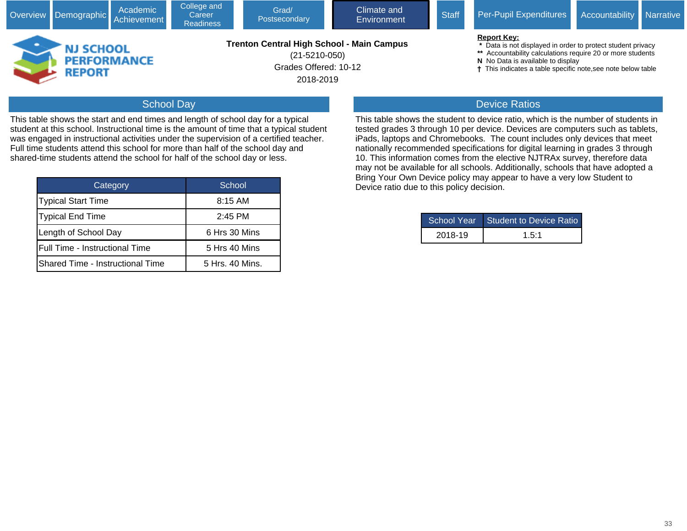|                                   | Academic<br>Overview Demographic Achievement | College and<br>Career<br><b>Readiness</b> | Grad/<br>Postsecondary                                                                                        | Climate and<br>Environment | <b>Staff</b> | <b>Per-Pupil Expenditures</b>                                                                                                                                                                                                                    | Accountability Narrative |  |
|-----------------------------------|----------------------------------------------|-------------------------------------------|---------------------------------------------------------------------------------------------------------------|----------------------------|--------------|--------------------------------------------------------------------------------------------------------------------------------------------------------------------------------------------------------------------------------------------------|--------------------------|--|
| <b>NJ SCHOOL</b><br><b>REPORT</b> | <b>PERFORMANCE</b>                           |                                           | <b>Trenton Central High School - Main Campus</b><br>$(21 - 5210 - 050)$<br>Grades Offered: 10-12<br>2018-2019 |                            |              | <b>Report Key:</b><br>Data is not displayed in order to protect student privacy<br>** Accountability calculations require 20 or more students<br>N No Data is available to display<br>This indicates a table specific note, see note below table |                          |  |
|                                   | -----                                        |                                           |                                                                                                               |                            |              | ________                                                                                                                                                                                                                                         |                          |  |

### School Day

This table shows the start and end times and length of school day for a typical student at this school. Instructional time is the amount of time that a typical student was engaged in instructional activities under the supervision of a certified teacher. Full time students attend this school for more than half of the school day and shared-time students attend the school for half of the school day or less.

| Category                         | School          |
|----------------------------------|-----------------|
| Typical Start Time               | $8:15$ AM       |
| Typical End Time                 | $2:45$ PM       |
| Length of School Day             | 6 Hrs 30 Mins   |
| Full Time - Instructional Time   | 5 Hrs 40 Mins   |
| Shared Time - Instructional Time | 5 Hrs. 40 Mins. |

### Device Ratios

This table shows the student to device ratio, which is the number of students in tested grades 3 through 10 per device. Devices are computers such as tablets, iPads, laptops and Chromebooks. The count includes only devices that meet nationally recommended specifications for digital learning in grades 3 through 10. This information comes from the elective NJTRAx survey, therefore data may not be available for all schools. Additionally, schools that have adopted a Bring Your Own Device policy may appear to have a very low Student to Device ratio due to this policy decision.

|         | School Year Student to Device Ratio |  |  |  |
|---------|-------------------------------------|--|--|--|
| 2018-19 | 1.5:1                               |  |  |  |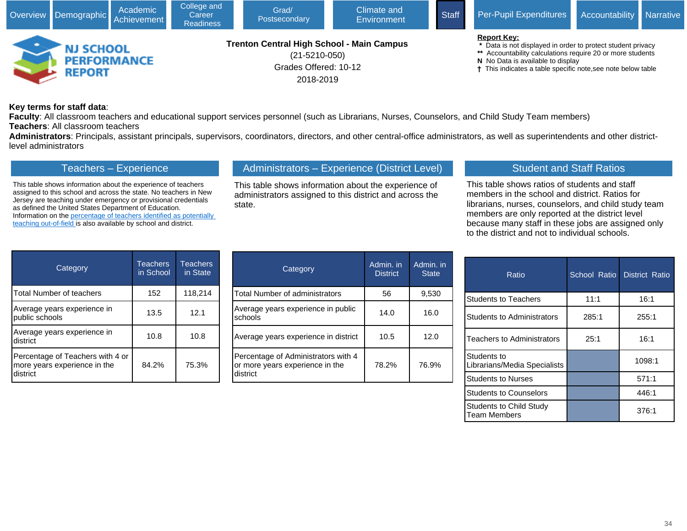

#### **Key terms for staff data**:

**Faculty**: All classroom teachers and educational support services personnel (such as Librarians, Nurses, Counselors, and Child Study Team members) **Teachers**: All classroom teachers

**Administrators**: Principals, assistant principals, supervisors, coordinators, directors, and other central-office administrators, as well as superintendents and other districtlevel administrators

### Teachers – Experience

This table shows information about the experience of teachers assigned to this school and across the state. No teachers in New Jersey are teaching under emergency or provisional credentials as defined the United States Department of Education. Information on the [percentage of teachers identified as potentially](javascript:void(window.open(window.location.origin%20+%20)  [teaching out-of-field](javascript:void(window.open(window.location.origin%20+%20) is also available by school and district.

# Administrators – Experience (District Level)

This table shows information about the experience of administrators assigned to this district and across the state.

# Student and Staff Ratios

This table shows ratios of students and staff members in the school and district. Ratios for librarians, nurses, counselors, and child study team members are only reported at the district level because many staff in these jobs are assigned only to the district and not to individual schools.

| Category                                                                     | <b>Teachers</b><br>in School | <b>Teachers</b><br>in State |
|------------------------------------------------------------------------------|------------------------------|-----------------------------|
| <b>Total Number of teachers</b>                                              | 152                          | 118,214                     |
| Average years experience in<br>public schools                                | 13.5                         | 12.1                        |
| Average years experience in<br>district                                      | 10.8                         | 10.8                        |
| Percentage of Teachers with 4 or<br>more years experience in the<br>district | 84.2%                        | 75.3%                       |

| Category                                                                           | Admin. in<br><b>District</b> | Admin. in<br><b>State</b> |
|------------------------------------------------------------------------------------|------------------------------|---------------------------|
| <b>Total Number of administrators</b>                                              | 56                           | 9,530                     |
| Average years experience in public<br>schools                                      | 14.0                         | 16.0                      |
| Average years experience in district                                               | 10.5                         | 12.0                      |
| Percentage of Administrators with 4<br>or more years experience in the<br>district | 78.2%                        | 76.9%                     |

| Ratio                                       | School Ratio | <b>District Ratio</b> |
|---------------------------------------------|--------------|-----------------------|
| <b>Students to Teachers</b>                 | 11:1         | 16:1                  |
| <b>Students to Administrators</b>           | 285:1        | 255:1                 |
| Teachers to Administrators                  | 25:1         | 16:1                  |
| Students to<br>Librarians/Media Specialists |              | 1098:1                |
| <b>Students to Nurses</b>                   |              | 571:1                 |
| <b>Students to Counselors</b>               |              | 446:1                 |
| Students to Child Study<br>Team Members     |              | 376:1                 |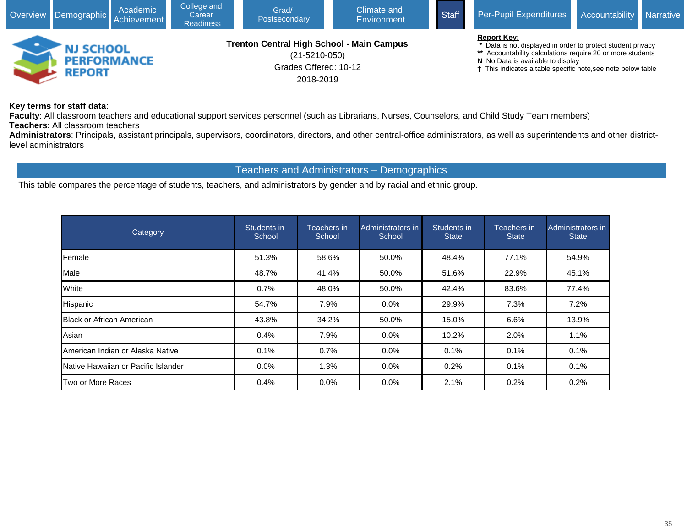

**Key terms for staff data**:

**Faculty**: All classroom teachers and educational support services personnel (such as Librarians, Nurses, Counselors, and Child Study Team members) **Teachers**: All classroom teachers

**Administrators**: Principals, assistant principals, supervisors, coordinators, directors, and other central-office administrators, as well as superintendents and other districtlevel administrators

### Teachers and Administrators – Demographics

This table compares the percentage of students, teachers, and administrators by gender and by racial and ethnic group.

| Category                             | Students in<br>School | Teachers in<br>School | Administrators in<br>School | Students in<br><b>State</b> | Teachers in<br><b>State</b> | Administrators in<br><b>State</b> |
|--------------------------------------|-----------------------|-----------------------|-----------------------------|-----------------------------|-----------------------------|-----------------------------------|
| Female                               | 51.3%                 | 58.6%                 | 50.0%                       | 48.4%                       | 77.1%                       | 54.9%                             |
| Male                                 | 48.7%                 | 41.4%                 | 50.0%                       | 51.6%                       | 22.9%                       | 45.1%                             |
| <b>White</b>                         | 0.7%                  | 48.0%                 | 50.0%                       | 42.4%                       | 83.6%                       | 77.4%                             |
| Hispanic                             | 54.7%                 | 7.9%                  | $0.0\%$                     | 29.9%                       | 7.3%                        | 7.2%                              |
| <b>IBlack or African American</b>    | 43.8%                 | 34.2%                 | 50.0%                       | 15.0%                       | 6.6%                        | 13.9%                             |
| Asian                                | 0.4%                  | 7.9%                  | $0.0\%$                     | 10.2%                       | 2.0%                        | 1.1%                              |
| American Indian or Alaska Native     | 0.1%                  | 0.7%                  | $0.0\%$                     | 0.1%                        | 0.1%                        | 0.1%                              |
| INative Hawaiian or Pacific Islander | $0.0\%$               | 1.3%                  | $0.0\%$                     | 0.2%                        | 0.1%                        | 0.1%                              |
| Two or More Races                    | 0.4%                  | 0.0%                  | $0.0\%$                     | 2.1%                        | 0.2%                        | 0.2%                              |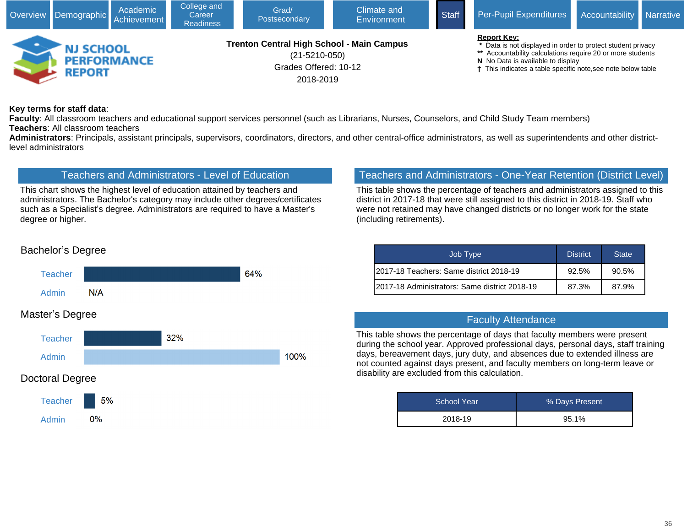

#### **Key terms for staff data**:

**Faculty**: All classroom teachers and educational support services personnel (such as Librarians, Nurses, Counselors, and Child Study Team members) **Teachers**: All classroom teachers

**Administrators**: Principals, assistant principals, supervisors, coordinators, directors, and other central-office administrators, as well as superintendents and other districtlevel administrators

# Teachers and Administrators - Level of Education

This chart shows the highest level of education attained by teachers and administrators. The Bachelor's category may include other degrees/certificates such as a Specialist's degree. Administrators are required to have a Master's degree or higher.

# Teachers and Administrators - One-Year Retention (District Level)

This table shows the percentage of teachers and administrators assigned to this district in 2017-18 that were still assigned to this district in 2018-19. Staff who were not retained may have changed districts or no longer work for the state (including retirements).

| Job Type                                       | <b>District</b> | <b>State</b> |
|------------------------------------------------|-----------------|--------------|
| I2017-18 Teachers: Same district 2018-19       | 92.5%           | $90.5\%$     |
| I2017-18 Administrators: Same district 2018-19 | 87.3%           | 87.9%        |

### Faculty Attendance

This table shows the percentage of days that faculty members were present during the school year. Approved professional days, personal days, staff training days, bereavement days, jury duty, and absences due to extended illness are not counted against days present, and faculty members on long-term leave or disability are excluded from this calculation.

| <b>School Year</b> | % Days Present |
|--------------------|----------------|
| 2018-19            | 95.1%          |

### Bachelor's Degree



# Master's Degree

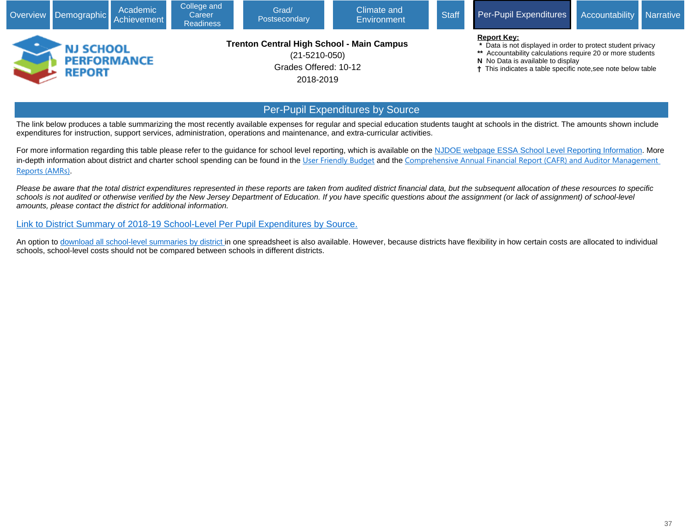|                                                              | Overview Demographic | Academic<br>Achievement | College and<br>Career<br><b>Readiness</b> | Grad/<br>Postsecondary                                                                                        | Climate and<br>Environment | <b>Staff</b> | Per-Pupil Expenditures                                                                                                                                                                                                                               | Accountability Narrative |  |
|--------------------------------------------------------------|----------------------|-------------------------|-------------------------------------------|---------------------------------------------------------------------------------------------------------------|----------------------------|--------------|------------------------------------------------------------------------------------------------------------------------------------------------------------------------------------------------------------------------------------------------------|--------------------------|--|
| -<br><b>NJ SCHOOL</b><br><b>PERFORMANCE</b><br><b>REPORT</b> |                      |                         |                                           | <b>Trenton Central High School - Main Campus</b><br>$(21 - 5210 - 050)$<br>Grades Offered: 10-12<br>2018-2019 |                            |              | <b>Report Key:</b><br>* Data is not displayed in order to protect student privacy<br>** Accountability calculations require 20 or more students<br>N No Data is available to display<br>† This indicates a table specific note, see note below table |                          |  |
| <b>Per-Pupil Expenditures by Source</b>                      |                      |                         |                                           |                                                                                                               |                            |              |                                                                                                                                                                                                                                                      |                          |  |

The link below produces a table summarizing the most recently available expenses for regular and special education students taught at schools in the district. The amounts shown include expenditures for instruction, support services, administration, operations and maintenance, and extra-curricular activities.

For more information regarding this table please refer to the guidance for school level reporting, which is available on the [NJDOE webpage ESSA School Level Reporting Information](javascript:void(window.open(). More in-depth information about district and charter school spending can be found in the [User Friendly Budget](javascript:void(window.open() and the [Comprehensive Annual Financial Report \(CAFR\) and Auditor Management](javascript:void(window.open()  [Reports \(AMRs\)](javascript:void(window.open().

Please be aware that the total district expenditures represented in these reports are taken from audited district financial data, but the subsequent allocation of these resources to specific schools is not audited or otherwise verified by the New Jersey Department of Education. If you have specific questions about the assignment (or lack of assignment) of school-level amounts, please contact the district for additional information.

[Link to District Summary of 2018-19 School-Level Per Pupil Expenditures by Source](javascript:void(window.open()[.](https://www.nj.gov/education/finance/fp/cafr/search/)

An option to [download all school-level summaries by district](javascript:void(window.open() in one spreadsheet is also available. However, because districts have flexibility in how certain costs are allocated to individual schools, school-level costs should not be compared between schools in different districts.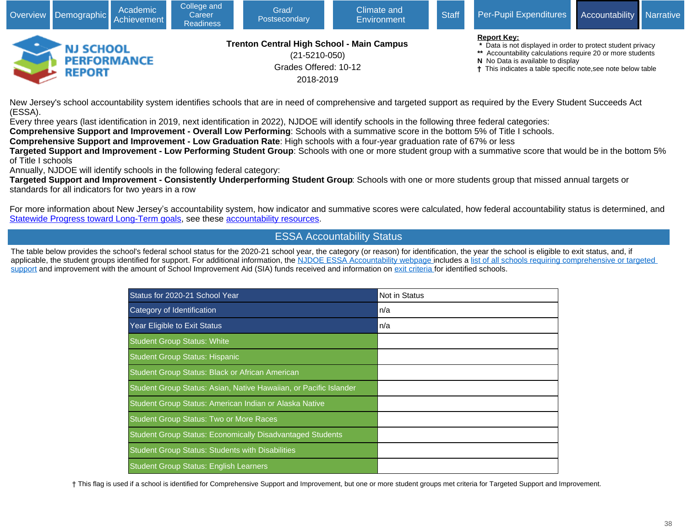

New Jersey's school accountability system identifies schools that are in need of comprehensive and targeted support as required by the Every Student Succeeds Act (ESSA).

Every three years (last identification in 2019, next identification in 2022), NJDOE will identify schools in the following three federal categories:

**Comprehensive Support and Improvement - Overall Low Performing**: Schools with a summative score in the bottom 5% of Title I schools.

**Comprehensive Support and Improvement - Low Graduation Rate**: High schools with a four-year graduation rate of 67% or less

**Targeted Support and Improvement - Low Performing Student Group**: Schools with one or more student group with a summative score that would be in the bottom 5% of Title I schools

Annually, NJDOE will identify schools in the following federal category:

**Targeted Support and Improvement - Consistently Underperforming Student Group**: Schools with one or more students group that missed annual targets or standards for all indicators for two years in a row

For more information about New Jersey's accountability system, how indicator and summative scores were calculated, how federal accountability status is determined, and [Statewide Progress toward Long-Term goals](javascript:void(window.open(), see these [accountability resources.](javascript:void(window.open()

### ESSA Accountability Status

The table below provides the school's federal school status for the 2020-21 school year, the category (or reason) for identification, the year the school is eligible to exit status, and, if applicable, the student groups identified for support. For additional information, the [NJDOE ESSA Accountability webpage](javascript:void(window.open() includes a list of all schools requiring comprehensive or targeted [support](javascript:void(window.open() and improvement with the amount of School Improvement Aid (SIA) funds received and information on [exit criteria](javascript:void(window.open() for identified schools.

| Status for 2020-21 School Year                                    | <b>Not in Status</b> |
|-------------------------------------------------------------------|----------------------|
| Category of Identification                                        | n/a                  |
| Year Eligible to Exit Status                                      | n/a                  |
| <b>Student Group Status: White</b>                                |                      |
| <b>Student Group Status: Hispanic</b>                             |                      |
| Student Group Status: Black or African American                   |                      |
| Student Group Status: Asian, Native Hawaiian, or Pacific Islander |                      |
| Student Group Status: American Indian or Alaska Native            |                      |
| <b>Student Group Status: Two or More Races</b>                    |                      |
| <b>Student Group Status: Economically Disadvantaged Students</b>  |                      |
| <b>Student Group Status: Students with Disabilities</b>           |                      |
| <b>Student Group Status: English Learners</b>                     |                      |

† This flag is used if a school is identified for Comprehensive Support and Improvement, but one or more student groups met criteria for Targeted Support and Improvement.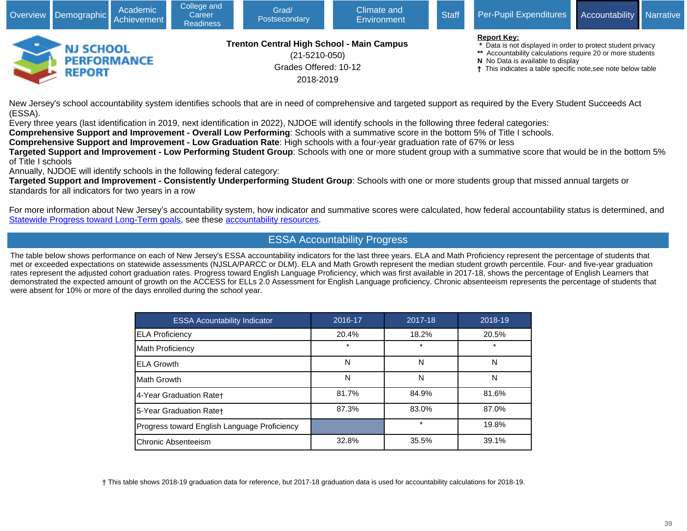

New Jersey's school accountability system identifies schools that are in need of comprehensive and targeted support as required by the Every Student Succeeds Act (ESSA).

Every three years (last identification in 2019, next identification in 2022), NJDOE will identify schools in the following three federal categories:

**Comprehensive Support and Improvement - Overall Low Performing**: Schools with a summative score in the bottom 5% of Title I schools.

**Comprehensive Support and Improvement - Low Graduation Rate**: High schools with a four-year graduation rate of 67% or less

**Targeted Support and Improvement - Low Performing Student Group**: Schools with one or more student group with a summative score that would be in the bottom 5% of Title I schools

Annually, NJDOE will identify schools in the following federal category:

**Targeted Support and Improvement - Consistently Underperforming Student Group**: Schools with one or more students group that missed annual targets or standards for all indicators for two years in a row

For more information about New Jersey's accountability system, how indicator and summative scores were calculated, how federal accountability status is determined, and [Statewide Progress toward Long-Term goals](javascript:void(window.open(), see these [accountability resources](javascript:void(window.open().

### ESSA Accountability Progress

The table below shows performance on each of New Jersey's ESSA accountability indicators for the last three years. ELA and Math Proficiency represent the percentage of students that met or exceeded expectations on statewide assessments (NJSLA/PARCC or DLM). ELA and Math Growth represent the median student growth percentile. Four- and five-year graduation rates represent the adjusted cohort graduation rates. Progress toward English Language Proficiency, which was first available in 2017-18, shows the percentage of English Learners that demonstrated the expected amount of growth on the ACCESS for ELLs 2.0 Assessment for English Language proficiency. Chronic absenteeism represents the percentage of students that were absent for 10% or more of the days enrolled during the school year.

| <b>ESSA Acountability Indicator</b>          | 2016-17 | 2017-18 | 2018-19 |
|----------------------------------------------|---------|---------|---------|
| <b>ELA Proficiency</b>                       | 20.4%   | 18.2%   | 20.5%   |
| Math Proficiency                             | $\ast$  | $\star$ | $\star$ |
| <b>ELA Growth</b>                            | N       | N       | N       |
| IMath Growth                                 | Ν       | N       | N       |
| 4-Year Graduation Rate†                      | 81.7%   | 84.9%   | 81.6%   |
| 5-Year Graduation Rate+                      | 87.3%   | 83.0%   | 87.0%   |
| Progress toward English Language Proficiency |         | $\star$ | 19.8%   |
| Chronic Absenteeism                          | 32.8%   | 35.5%   | 39.1%   |

† This table shows 2018-19 graduation data for reference, but 2017-18 graduation data is used for accountability calculations for 2018-19.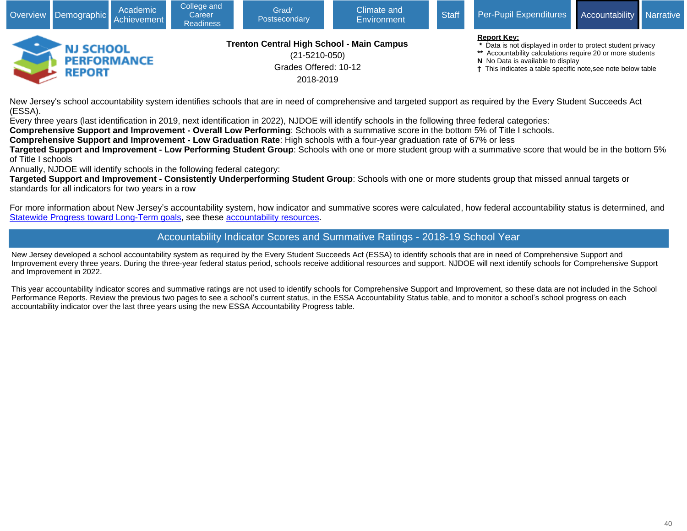

New Jersey's school accountability system identifies schools that are in need of comprehensive and targeted support as required by the Every Student Succeeds Act (ESSA).

Every three years (last identification in 2019, next identification in 2022), NJDOE will identify schools in the following three federal categories:

**Comprehensive Support and Improvement - Overall Low Performing**: Schools with a summative score in the bottom 5% of Title I schools.

**Comprehensive Support and Improvement - Low Graduation Rate**: High schools with a four-year graduation rate of 67% or less

**Targeted Support and Improvement - Low Performing Student Group**: Schools with one or more student group with a summative score that would be in the bottom 5% of Title I schools

Annually, NJDOE will identify schools in the following federal category:

**Targeted Support and Improvement - Consistently Underperforming Student Group**: Schools with one or more students group that missed annual targets or standards for all indicators for two years in a row

For more information about New Jersey's accountability system, how indicator and summative scores were calculated, how federal accountability status is determined, and [Statewide Progress toward Long-Term goals](javascript:void(window.open(), see these [accountability resources.](javascript:void(window.open()

# Accountability Indicator Scores and Summative Ratings - 2018-19 School Year

New Jersey developed a school accountability system as required by the Every Student Succeeds Act (ESSA) to identify schools that are in need of Comprehensive Support and Improvement every three years. During the three-year federal status period, schools receive additional resources and support. NJDOE will next identify schools for Comprehensive Support and Improvement in 2022.

This year accountability indicator scores and summative ratings are not used to identify schools for Comprehensive Support and Improvement, so these data are not included in the School Performance Reports. Review the previous two pages to see a school's current status, in the ESSA Accountability Status table, and to monitor a school's school progress on each accountability indicator over the last three years using the new ESSA Accountability Progress table.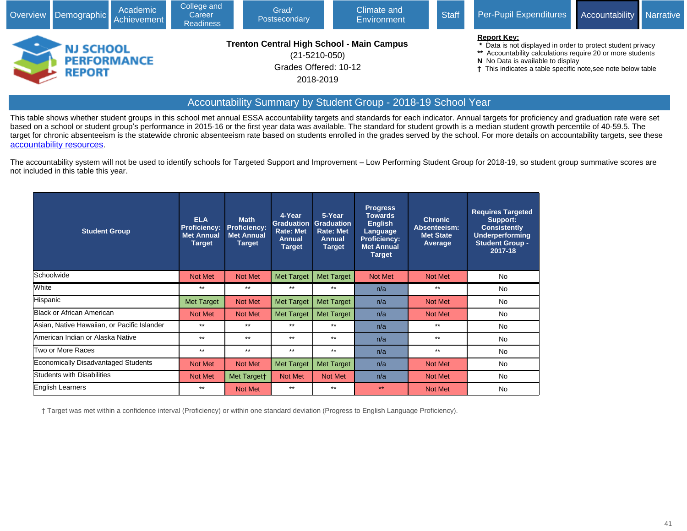|                                                         | Academic<br>Overview Demographic Achievement | College and<br>Career<br><b>Readiness</b> | Grad/<br>Postsecondary                                                                                        | Climate and<br>Environment | <b>Staff</b> | <b>Per-Pupil Expenditures</b>                                                                                                                                                                                                                        | <b>Accountability</b> | Narrative |
|---------------------------------------------------------|----------------------------------------------|-------------------------------------------|---------------------------------------------------------------------------------------------------------------|----------------------------|--------------|------------------------------------------------------------------------------------------------------------------------------------------------------------------------------------------------------------------------------------------------------|-----------------------|-----------|
| <b>NJ SCHOOL</b><br><b>PERFORMANCE</b><br><b>REPORT</b> |                                              |                                           | <b>Trenton Central High School - Main Campus</b><br>$(21 - 5210 - 050)$<br>Grades Offered: 10-12<br>2018-2019 |                            |              | <b>Report Key:</b><br>* Data is not displayed in order to protect student privacy<br>** Accountability calculations require 20 or more students<br>N No Data is available to display<br>† This indicates a table specific note, see note below table |                       |           |

### Accountability Summary by Student Group - 2018-19 School Year

This table shows whether student groups in this school met annual ESSA accountability targets and standards for each indicator. Annual targets for proficiency and graduation rate were set based on a school or student group's performance in 2015-16 or the first year data was available. The standard for student growth is a median student growth percentile of 40-59.5. The target for chronic absenteeism is the statewide chronic absenteeism rate based on students enrolled in the grades served by the school. For more details on accountability targets, see these [accountability resources](javascript:void(window.open().

The accountability system will not be used to identify schools for Targeted Support and Improvement – Low Performing Student Group for 2018-19, so student group summative scores are not included in this table this year.

| <b>Student Group</b>                        | <b>ELA</b><br><b>Proficiency:</b><br><b>Met Annual</b><br><b>Target</b> | <b>Math</b><br><b>Proficiency:</b><br><b>Met Annual</b><br><b>Target</b> | 4-Year<br><b>Graduation</b><br><b>Rate: Met</b><br>Annual<br><b>Target</b> | 5-Year<br><b>Graduation</b><br><b>Rate: Met</b><br><b>Annual</b><br><b>Target</b> | <b>Progress</b><br><b>Towards</b><br><b>English</b><br>Language<br><b>Proficiency:</b><br><b>Met Annual</b><br><b>Target</b> | <b>Chronic</b><br>Absenteeism:<br><b>Met State</b><br>Average | <b>Requires Targeted</b><br>Support:<br><b>Consistently</b><br>Underperforming<br><b>Student Group -</b><br>2017-18 |
|---------------------------------------------|-------------------------------------------------------------------------|--------------------------------------------------------------------------|----------------------------------------------------------------------------|-----------------------------------------------------------------------------------|------------------------------------------------------------------------------------------------------------------------------|---------------------------------------------------------------|---------------------------------------------------------------------------------------------------------------------|
| Schoolwide                                  | <b>Not Met</b>                                                          | <b>Not Met</b>                                                           | <b>Met Target</b>                                                          | <b>Met Target</b>                                                                 | Not Met                                                                                                                      | <b>Not Met</b>                                                | No                                                                                                                  |
| White                                       | $***$                                                                   | $***$                                                                    | $***$                                                                      | $***$                                                                             | n/a                                                                                                                          | $***$                                                         | <b>No</b>                                                                                                           |
| Hispanic                                    | Met Target                                                              | Not Met                                                                  | <b>Met Target</b>                                                          | <b>Met Target</b>                                                                 | n/a                                                                                                                          | <b>Not Met</b>                                                | No                                                                                                                  |
| Black or African American                   | <b>Not Met</b>                                                          | <b>Not Met</b>                                                           | <b>Met Target</b>                                                          | <b>Met Target</b>                                                                 | n/a                                                                                                                          | <b>Not Met</b>                                                | <b>No</b>                                                                                                           |
| Asian, Native Hawaiian, or Pacific Islander | $***$                                                                   | $***$                                                                    | $***$                                                                      | $***$                                                                             | n/a                                                                                                                          | $***$                                                         | No                                                                                                                  |
| American Indian or Alaska Native            | $***$                                                                   | $***$                                                                    | $***$                                                                      | $***$                                                                             | n/a                                                                                                                          | $***$                                                         | No                                                                                                                  |
| Two or More Races                           | $***$                                                                   | $***$                                                                    | $***$                                                                      | $***$                                                                             | n/a                                                                                                                          | $***$                                                         | No                                                                                                                  |
| <b>Economically Disadvantaged Students</b>  | <b>Not Met</b>                                                          | Not Met                                                                  | <b>Met Target</b>                                                          | <b>Met Target</b>                                                                 | n/a                                                                                                                          | Not Met                                                       | No                                                                                                                  |
| <b>Students with Disabilities</b>           | <b>Not Met</b>                                                          | Met Targett                                                              | Not Met                                                                    | Not Met                                                                           | n/a                                                                                                                          | <b>Not Met</b>                                                | <b>No</b>                                                                                                           |
| English Learners                            | $***$                                                                   | Not Met                                                                  | $***$                                                                      | $***$                                                                             | $***$                                                                                                                        | <b>Not Met</b>                                                | <b>No</b>                                                                                                           |

† Target was met within a confidence interval (Proficiency) or within one standard deviation (Progress to English Language Proficiency).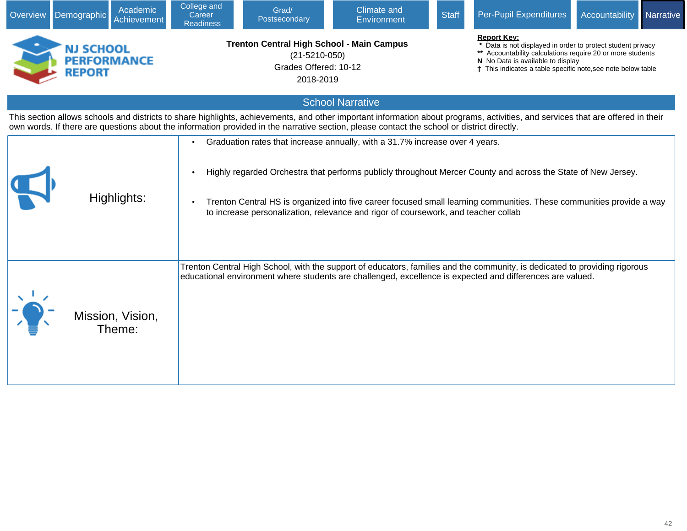| Overview                                                                                                                                                                                                                                                              | Demographic                                                                                                                                                                                                                                                                                                                                                                                                                | Academic<br>Achievement | College and<br>Career<br><b>Readiness</b>                                                                     | Grad/<br>Postsecondary | <b>Climate and</b><br>Environment                                                                                                          | <b>Staff</b> | Per-Pupil Expenditures                                                                                                                                                          | Accountability                                                                                                                                                                                                               | Narrative |  |
|-----------------------------------------------------------------------------------------------------------------------------------------------------------------------------------------------------------------------------------------------------------------------|----------------------------------------------------------------------------------------------------------------------------------------------------------------------------------------------------------------------------------------------------------------------------------------------------------------------------------------------------------------------------------------------------------------------------|-------------------------|---------------------------------------------------------------------------------------------------------------|------------------------|--------------------------------------------------------------------------------------------------------------------------------------------|--------------|---------------------------------------------------------------------------------------------------------------------------------------------------------------------------------|------------------------------------------------------------------------------------------------------------------------------------------------------------------------------------------------------------------------------|-----------|--|
|                                                                                                                                                                                                                                                                       | NJ SCHOOL<br><b>PERFORMANCE</b><br><b>REPORT</b>                                                                                                                                                                                                                                                                                                                                                                           |                         | <b>Trenton Central High School - Main Campus</b><br>$(21 - 5210 - 050)$<br>Grades Offered: 10-12<br>2018-2019 |                        |                                                                                                                                            |              | <b>Report Key:</b>                                                                                                                                                              | Data is not displayed in order to protect student privacy<br>** Accountability calculations require 20 or more students<br>N No Data is available to display<br>† This indicates a table specific note, see note below table |           |  |
|                                                                                                                                                                                                                                                                       |                                                                                                                                                                                                                                                                                                                                                                                                                            |                         |                                                                                                               |                        | <b>School Narrative</b>                                                                                                                    |              |                                                                                                                                                                                 |                                                                                                                                                                                                                              |           |  |
|                                                                                                                                                                                                                                                                       |                                                                                                                                                                                                                                                                                                                                                                                                                            |                         |                                                                                                               |                        | own words. If there are questions about the information provided in the narrative section, please contact the school or district directly. |              | This section allows schools and districts to share highlights, achievements, and other important information about programs, activities, and services that are offered in their |                                                                                                                                                                                                                              |           |  |
|                                                                                                                                                                                                                                                                       | Graduation rates that increase annually, with a 31.7% increase over 4 years.<br>Highly regarded Orchestra that performs publicly throughout Mercer County and across the State of New Jersey.<br>Highlights:<br>Trenton Central HS is organized into five career focused small learning communities. These communities provide a way<br>to increase personalization, relevance and rigor of coursework, and teacher collab |                         |                                                                                                               |                        |                                                                                                                                            |              |                                                                                                                                                                                 |                                                                                                                                                                                                                              |           |  |
| Trenton Central High School, with the support of educators, families and the community, is dedicated to providing rigorous<br>educational environment where students are challenged, excellence is expected and differences are valued.<br>Mission, Vision,<br>Theme: |                                                                                                                                                                                                                                                                                                                                                                                                                            |                         |                                                                                                               |                        |                                                                                                                                            |              |                                                                                                                                                                                 |                                                                                                                                                                                                                              |           |  |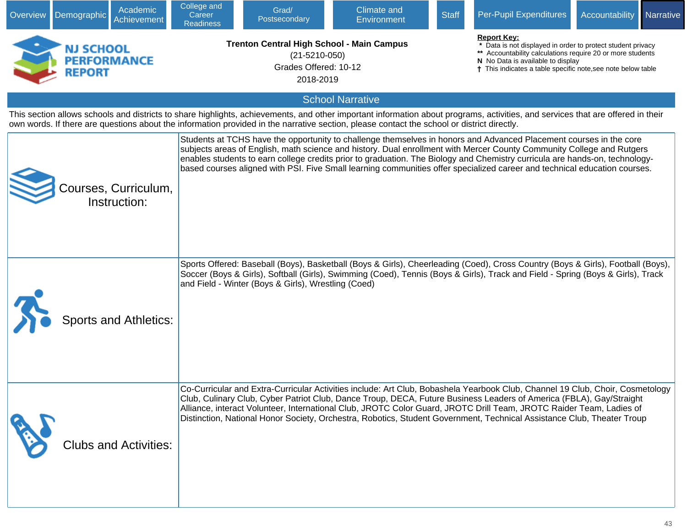| Overview | <b>Demographic</b>                               | Academic<br>Achievement              | College and<br>Career<br><b>Readiness</b> | Grad/<br>Postsecondary                                                                                        | Climate and<br><b>Environment</b>                                                                                                          | <b>Staff</b>                                                                                                                                                                                                                                       | Per-Pupil Expenditures                                                                                                                                                                                                                                                                                                                                                                                                                                                                                  | Accountability | Narrative |
|----------|--------------------------------------------------|--------------------------------------|-------------------------------------------|---------------------------------------------------------------------------------------------------------------|--------------------------------------------------------------------------------------------------------------------------------------------|----------------------------------------------------------------------------------------------------------------------------------------------------------------------------------------------------------------------------------------------------|---------------------------------------------------------------------------------------------------------------------------------------------------------------------------------------------------------------------------------------------------------------------------------------------------------------------------------------------------------------------------------------------------------------------------------------------------------------------------------------------------------|----------------|-----------|
|          | NJ SCHOOL<br><b>PERFORMANCE</b><br><b>REPORT</b> |                                      |                                           | <b>Trenton Central High School - Main Campus</b><br>$(21 - 5210 - 050)$<br>Grades Offered: 10-12<br>2018-2019 |                                                                                                                                            | <b>Report Key:</b><br>Data is not displayed in order to protect student privacy<br>** Accountability calculations require 20 or more students<br>N No Data is available to display<br>† This indicates a table specific note, see note below table |                                                                                                                                                                                                                                                                                                                                                                                                                                                                                                         |                |           |
|          |                                                  |                                      |                                           |                                                                                                               | <b>School Narrative</b>                                                                                                                    |                                                                                                                                                                                                                                                    |                                                                                                                                                                                                                                                                                                                                                                                                                                                                                                         |                |           |
|          |                                                  |                                      |                                           |                                                                                                               | own words. If there are questions about the information provided in the narrative section, please contact the school or district directly. |                                                                                                                                                                                                                                                    | This section allows schools and districts to share highlights, achievements, and other important information about programs, activities, and services that are offered in their                                                                                                                                                                                                                                                                                                                         |                |           |
|          |                                                  | Courses, Curriculum,<br>Instruction: |                                           |                                                                                                               |                                                                                                                                            |                                                                                                                                                                                                                                                    | Students at TCHS have the opportunity to challenge themselves in honors and Advanced Placement courses in the core<br>subjects areas of English, math science and history. Dual enrollment with Mercer County Community College and Rutgers<br>enables students to earn college credits prior to graduation. The Biology and Chemistry curricula are hands-on, technology-<br>based courses aligned with PSI. Five Small learning communities offer specialized career and technical education courses. |                |           |
|          |                                                  | <b>Sports and Athletics:</b>         |                                           | and Field - Winter (Boys & Girls), Wrestling (Coed)                                                           |                                                                                                                                            |                                                                                                                                                                                                                                                    | Sports Offered: Baseball (Boys), Basketball (Boys & Girls), Cheerleading (Coed), Cross Country (Boys & Girls), Football (Boys),<br>Soccer (Boys & Girls), Softball (Girls), Swimming (Coed), Tennis (Boys & Girls), Track and Field - Spring (Boys & Girls), Track                                                                                                                                                                                                                                      |                |           |
|          |                                                  | <b>Clubs and Activities:</b>         |                                           |                                                                                                               |                                                                                                                                            |                                                                                                                                                                                                                                                    | Co-Curricular and Extra-Curricular Activities include: Art Club, Bobashela Yearbook Club, Channel 19 Club, Choir, Cosmetology<br>Club, Culinary Club, Cyber Patriot Club, Dance Troup, DECA, Future Business Leaders of America (FBLA), Gay/Straight<br>Alliance, interact Volunteer, International Club, JROTC Color Guard, JROTC Drill Team, JROTC Raider Team, Ladies of<br>Distinction, National Honor Society, Orchestra, Robotics, Student Government, Technical Assistance Club, Theater Troup   |                |           |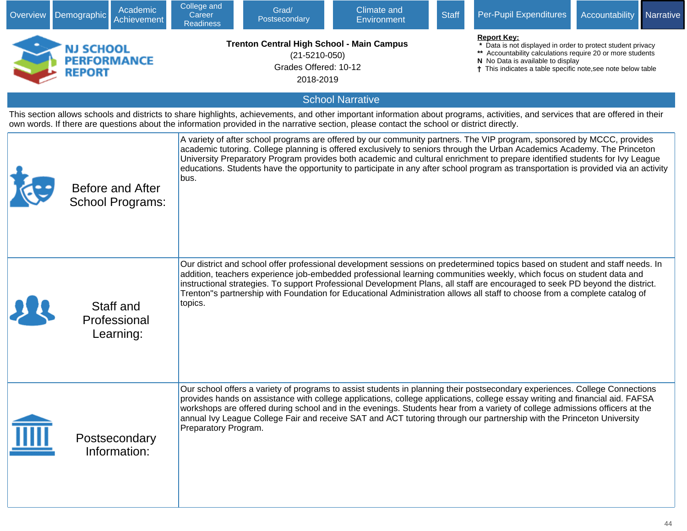| Overview | Academic<br>Demographic<br>Achievement                                                                                                                                                                                                                                                                                        | College and<br>Career<br><b>Readiness</b> | Grad/<br>Postsecondary                                                                                        | <b>Climate and</b><br>Environment | <b>Staff</b> | Per-Pupil Expenditures                                                                                                                                                                                                                                                                                                                                                                                                                                                                                                  | Accountability                                                                                                                                                                                                                                     | Narrative |  |  |  |
|----------|-------------------------------------------------------------------------------------------------------------------------------------------------------------------------------------------------------------------------------------------------------------------------------------------------------------------------------|-------------------------------------------|---------------------------------------------------------------------------------------------------------------|-----------------------------------|--------------|-------------------------------------------------------------------------------------------------------------------------------------------------------------------------------------------------------------------------------------------------------------------------------------------------------------------------------------------------------------------------------------------------------------------------------------------------------------------------------------------------------------------------|----------------------------------------------------------------------------------------------------------------------------------------------------------------------------------------------------------------------------------------------------|-----------|--|--|--|
|          | NJ SCHOOL<br><b>PERFORMANCE</b><br><b>REPORT</b>                                                                                                                                                                                                                                                                              |                                           | <b>Trenton Central High School - Main Campus</b><br>$(21 - 5210 - 050)$<br>Grades Offered: 10-12<br>2018-2019 |                                   |              |                                                                                                                                                                                                                                                                                                                                                                                                                                                                                                                         | <b>Report Key:</b><br>Data is not displayed in order to protect student privacy<br>** Accountability calculations require 20 or more students<br>N No Data is available to display<br>† This indicates a table specific note, see note below table |           |  |  |  |
|          |                                                                                                                                                                                                                                                                                                                               |                                           |                                                                                                               | <b>School Narrative</b>           |              |                                                                                                                                                                                                                                                                                                                                                                                                                                                                                                                         |                                                                                                                                                                                                                                                    |           |  |  |  |
|          | This section allows schools and districts to share highlights, achievements, and other important information about programs, activities, and services that are offered in their<br>own words. If there are questions about the information provided in the narrative section, please contact the school or district directly. |                                           |                                                                                                               |                                   |              |                                                                                                                                                                                                                                                                                                                                                                                                                                                                                                                         |                                                                                                                                                                                                                                                    |           |  |  |  |
|          | Before and After<br><b>School Programs:</b>                                                                                                                                                                                                                                                                                   | bus.                                      |                                                                                                               |                                   |              | A variety of after school programs are offered by our community partners. The VIP program, sponsored by MCCC, provides<br>academic tutoring. College planning is offered exclusively to seniors through the Urban Academics Academy. The Princeton<br>University Preparatory Program provides both academic and cultural enrichment to prepare identified students for Ivy League<br>educations. Students have the opportunity to participate in any after school program as transportation is provided via an activity |                                                                                                                                                                                                                                                    |           |  |  |  |
|          | Staff and<br>Professional<br>Learning:                                                                                                                                                                                                                                                                                        | topics.                                   |                                                                                                               |                                   |              | Our district and school offer professional development sessions on predetermined topics based on student and staff needs. In<br>addition, teachers experience job-embedded professional learning communities weekly, which focus on student data and<br>instructional strategies. To support Professional Development Plans, all staff are encouraged to seek PD beyond the district.<br>Trenton"s partnership with Foundation for Educational Administration allows all staff to choose from a complete catalog of     |                                                                                                                                                                                                                                                    |           |  |  |  |
|          | Postsecondary<br>Information:                                                                                                                                                                                                                                                                                                 | Preparatory Program.                      |                                                                                                               |                                   |              | Our school offers a variety of programs to assist students in planning their postsecondary experiences. College Connections<br>provides hands on assistance with college applications, college applications, college essay writing and financial aid. FAFSA<br>workshops are offered during school and in the evenings. Students hear from a variety of college admissions officers at the<br>annual Ivy League College Fair and receive SAT and ACT tutoring through our partnership with the Princeton University     |                                                                                                                                                                                                                                                    |           |  |  |  |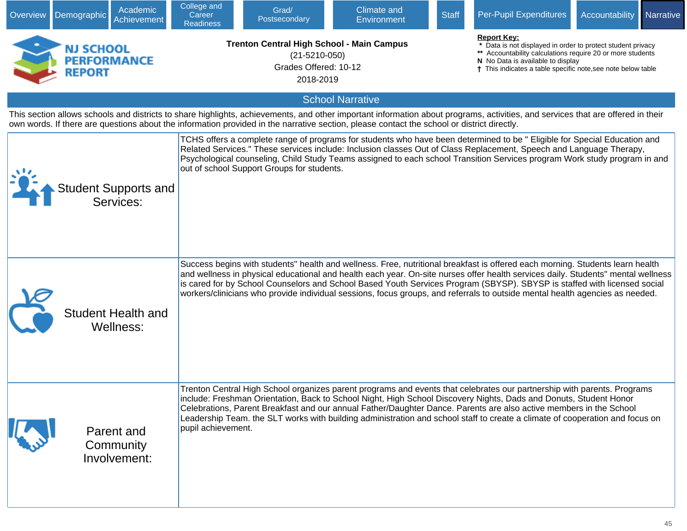| Overview | Academic<br>Demographic<br>Achievement                                                                                                                                                                                                                                                                                        | College and<br>Career<br><b>Readiness</b> | Grad/<br>Postsecondary                                                                                        | Climate and<br>Environment                                                                                                                                                                                                                                                                                                                                                                                                                                                                                                    | <b>Staff</b> | Per-Pupil Expenditures                                                                                                                                                                                                                               | Accountability | Narrative |
|----------|-------------------------------------------------------------------------------------------------------------------------------------------------------------------------------------------------------------------------------------------------------------------------------------------------------------------------------|-------------------------------------------|---------------------------------------------------------------------------------------------------------------|-------------------------------------------------------------------------------------------------------------------------------------------------------------------------------------------------------------------------------------------------------------------------------------------------------------------------------------------------------------------------------------------------------------------------------------------------------------------------------------------------------------------------------|--------------|------------------------------------------------------------------------------------------------------------------------------------------------------------------------------------------------------------------------------------------------------|----------------|-----------|
|          | NJ SCHOOL<br><b>PERFORMANCE</b><br><b>REPORT</b>                                                                                                                                                                                                                                                                              |                                           | <b>Trenton Central High School - Main Campus</b><br>$(21 - 5210 - 050)$<br>Grades Offered: 10-12<br>2018-2019 |                                                                                                                                                                                                                                                                                                                                                                                                                                                                                                                               |              | <b>Report Kev:</b><br>* Data is not displayed in order to protect student privacy<br>** Accountability calculations require 20 or more students<br>N No Data is available to display<br>† This indicates a table specific note, see note below table |                |           |
|          |                                                                                                                                                                                                                                                                                                                               |                                           |                                                                                                               | <b>School Narrative</b>                                                                                                                                                                                                                                                                                                                                                                                                                                                                                                       |              |                                                                                                                                                                                                                                                      |                |           |
|          | This section allows schools and districts to share highlights, achievements, and other important information about programs, activities, and services that are offered in their<br>own words. If there are questions about the information provided in the narrative section, please contact the school or district directly. |                                           |                                                                                                               |                                                                                                                                                                                                                                                                                                                                                                                                                                                                                                                               |              |                                                                                                                                                                                                                                                      |                |           |
|          | <b>Student Supports and</b><br>Services:                                                                                                                                                                                                                                                                                      |                                           | out of school Support Groups for students.                                                                    | TCHS offers a complete range of programs for students who have been determined to be " Eligible for Special Education and<br>Related Services." These services include: Inclusion classes Out of Class Replacement, Speech and Language Therapy,<br>Psychological counseling, Child Study Teams assigned to each school Transition Services program Work study program in and                                                                                                                                                 |              |                                                                                                                                                                                                                                                      |                |           |
|          | <b>Student Health and</b><br>Wellness:                                                                                                                                                                                                                                                                                        |                                           |                                                                                                               | Success begins with students" health and wellness. Free, nutritional breakfast is offered each morning. Students learn health<br>and wellness in physical educational and health each year. On-site nurses offer health services daily. Students" mental wellness<br>is cared for by School Counselors and School Based Youth Services Program (SBYSP). SBYSP is staffed with licensed social<br>workers/clinicians who provide individual sessions, focus groups, and referrals to outside mental health agencies as needed. |              |                                                                                                                                                                                                                                                      |                |           |
|          | Parent and<br>Community<br>Involvement:                                                                                                                                                                                                                                                                                       | pupil achievement.                        |                                                                                                               | Trenton Central High School organizes parent programs and events that celebrates our partnership with parents. Programs<br>include: Freshman Orientation, Back to School Night, High School Discovery Nights, Dads and Donuts, Student Honor<br>Celebrations, Parent Breakfast and our annual Father/Daughter Dance. Parents are also active members in the School<br>Leadership Team. the SLT works with building administration and school staff to create a climate of cooperation and focus on                            |              |                                                                                                                                                                                                                                                      |                |           |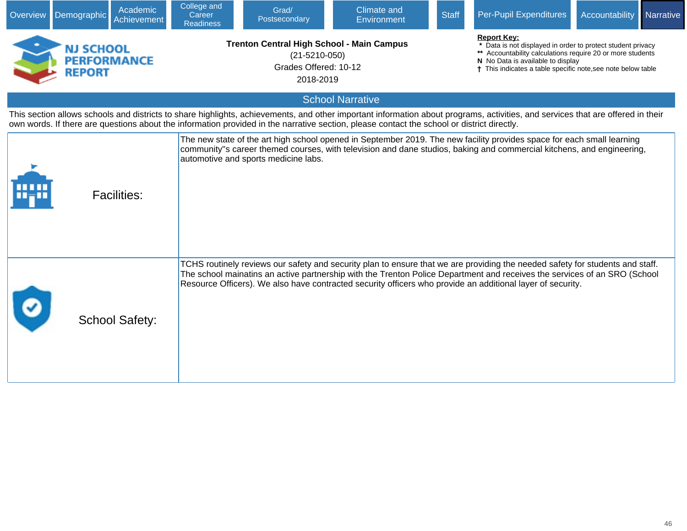| Overview | Demographic                                      | Academic<br>Achievement | College and<br>Career<br><b>Readiness</b> | Grad/<br>Postsecondary                                                                                        | Climate and<br><b>Environment</b>                                                                                                          | <b>Staff</b> | Per-Pupil Expenditures                                                                                                                                                                                                                                                                                                                                                   | <b>Accountability</b>                                                                                                                                                                                                                            | Narrative |  |
|----------|--------------------------------------------------|-------------------------|-------------------------------------------|---------------------------------------------------------------------------------------------------------------|--------------------------------------------------------------------------------------------------------------------------------------------|--------------|--------------------------------------------------------------------------------------------------------------------------------------------------------------------------------------------------------------------------------------------------------------------------------------------------------------------------------------------------------------------------|--------------------------------------------------------------------------------------------------------------------------------------------------------------------------------------------------------------------------------------------------|-----------|--|
|          | NJ SCHOOL<br><b>PERFORMANCE</b><br><b>REPORT</b> |                         |                                           | <b>Trenton Central High School - Main Campus</b><br>$(21 - 5210 - 050)$<br>Grades Offered: 10-12<br>2018-2019 |                                                                                                                                            |              |                                                                                                                                                                                                                                                                                                                                                                          | <b>Report Key:</b><br>Data is not displayed in order to protect student privacy<br>** Accountability calculations require 20 or more students<br>N No Data is available to display<br>This indicates a table specific note, see note below table |           |  |
|          |                                                  |                         |                                           |                                                                                                               | <b>School Narrative</b>                                                                                                                    |              |                                                                                                                                                                                                                                                                                                                                                                          |                                                                                                                                                                                                                                                  |           |  |
|          |                                                  |                         |                                           |                                                                                                               | own words. If there are questions about the information provided in the narrative section, please contact the school or district directly. |              | This section allows schools and districts to share highlights, achievements, and other important information about programs, activities, and services that are offered in their                                                                                                                                                                                          |                                                                                                                                                                                                                                                  |           |  |
|          |                                                  | <b>Facilities:</b>      |                                           | automotive and sports medicine labs.                                                                          |                                                                                                                                            |              | The new state of the art high school opened in September 2019. The new facility provides space for each small learning<br>community"s career themed courses, with television and dane studios, baking and commercial kitchens, and engineering,                                                                                                                          |                                                                                                                                                                                                                                                  |           |  |
|          |                                                  | <b>School Safety:</b>   |                                           |                                                                                                               |                                                                                                                                            |              | TCHS routinely reviews our safety and security plan to ensure that we are providing the needed safety for students and staff.<br>The school mainatins an active partnership with the Trenton Police Department and receives the services of an SRO (School<br>Resource Officers). We also have contracted security officers who provide an additional layer of security. |                                                                                                                                                                                                                                                  |           |  |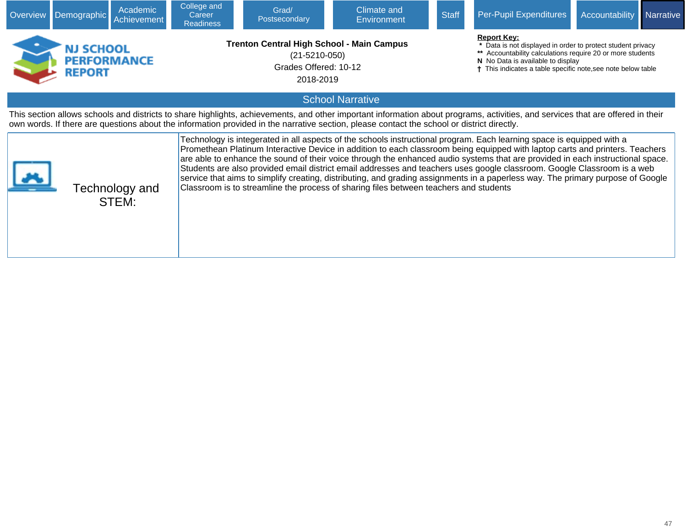| <b>Overview</b>                                                                                                                                                                                                                                                                                                                                                                                                                                                                                                                                                                                                                                                                                                                                                           | Academic<br>Demographic<br>Achievement                                                                                                                                                                                                                                                                                        | College and<br>Career<br><b>Readiness</b> | Grad/<br>Postsecondary                                                                                        | Climate and<br>Environment | <b>Staff</b>                                                                                                                                                                                                                                     | Per-Pupil Expenditures | Accountability | Narrative |  |  |  |
|---------------------------------------------------------------------------------------------------------------------------------------------------------------------------------------------------------------------------------------------------------------------------------------------------------------------------------------------------------------------------------------------------------------------------------------------------------------------------------------------------------------------------------------------------------------------------------------------------------------------------------------------------------------------------------------------------------------------------------------------------------------------------|-------------------------------------------------------------------------------------------------------------------------------------------------------------------------------------------------------------------------------------------------------------------------------------------------------------------------------|-------------------------------------------|---------------------------------------------------------------------------------------------------------------|----------------------------|--------------------------------------------------------------------------------------------------------------------------------------------------------------------------------------------------------------------------------------------------|------------------------|----------------|-----------|--|--|--|
|                                                                                                                                                                                                                                                                                                                                                                                                                                                                                                                                                                                                                                                                                                                                                                           | NJ SCHOOL<br>PERFORMANCE<br><b>REPORT</b>                                                                                                                                                                                                                                                                                     |                                           | <b>Trenton Central High School - Main Campus</b><br>$(21 - 5210 - 050)$<br>Grades Offered: 10-12<br>2018-2019 |                            | <b>Report Key:</b><br>Data is not displayed in order to protect student privacy<br>** Accountability calculations require 20 or more students<br>N No Data is available to display<br>This indicates a table specific note, see note below table |                        |                |           |  |  |  |
|                                                                                                                                                                                                                                                                                                                                                                                                                                                                                                                                                                                                                                                                                                                                                                           | <b>School Narrative</b>                                                                                                                                                                                                                                                                                                       |                                           |                                                                                                               |                            |                                                                                                                                                                                                                                                  |                        |                |           |  |  |  |
|                                                                                                                                                                                                                                                                                                                                                                                                                                                                                                                                                                                                                                                                                                                                                                           | This section allows schools and districts to share highlights, achievements, and other important information about programs, activities, and services that are offered in their<br>own words. If there are questions about the information provided in the narrative section, please contact the school or district directly. |                                           |                                                                                                               |                            |                                                                                                                                                                                                                                                  |                        |                |           |  |  |  |
| Technology is integerated in all aspects of the schools instructional program. Each learning space is equipped with a<br>Promethean Platinum Interactive Device in addition to each classroom being equipped with laptop carts and printers. Teachers<br>are able to enhance the sound of their voice through the enhanced audio systems that are provided in each instructional space.<br>Students are also provided email district email addresses and teachers uses google classroom. Google Classroom is a web<br>service that aims to simplify creating, distributing, and grading assignments in a paperless way. The primary purpose of Google<br>Classroom is to streamline the process of sharing files between teachers and students<br>Technology and<br>STEM: |                                                                                                                                                                                                                                                                                                                               |                                           |                                                                                                               |                            |                                                                                                                                                                                                                                                  |                        |                |           |  |  |  |